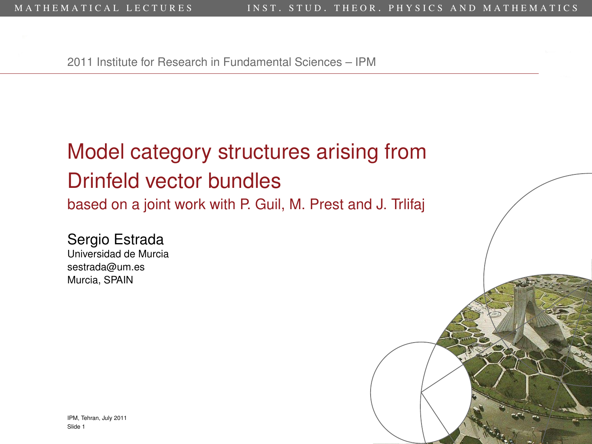2011 Institute for Research in Fundamental Sciences – IPM

# Model category structures arising from Drinfeld vector bundles

based on a joint work with P. Guil, M. Prest and J. Trlifaj

<span id="page-0-0"></span>Sergio Estrada Universidad de Murcia sestrada@um.es Murcia, SPAIN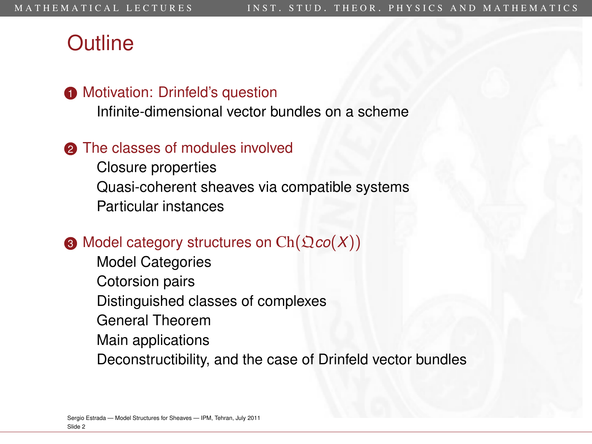#### **Outline**

#### **1** [Motivation: Drinfeld's question](#page-2-0)

[Infinite-dimensional vector bundles on a scheme](#page-2-0)

#### **2** [The classes of modules involved](#page-12-0)

[Closure properties](#page-29-0) [Quasi-coherent sheaves via compatible systems](#page-34-0) [Particular instances](#page-42-0)

#### $\bigcirc$  [Model category structures on](#page-45-0)  $Ch(\mathfrak{Q}co(X))$

[Model Categories](#page-45-0) [Cotorsion pairs](#page-58-0) [Distinguished classes of complexes](#page-64-0) [General Theorem](#page-79-0) [Main applications](#page-90-0) [Deconstructibility, and the case of Drinfeld vector bundles](#page-96-0)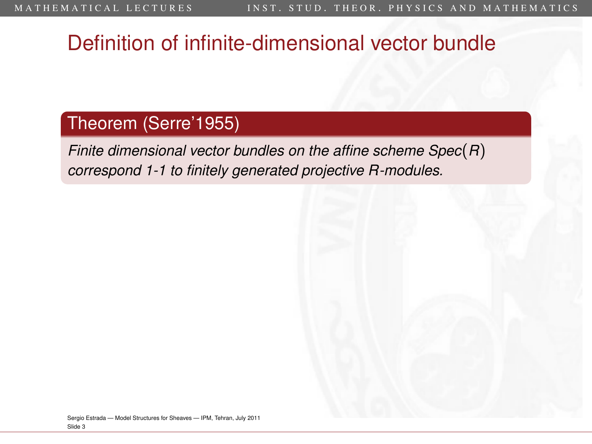# Definition of infinite-dimensional vector bundle

#### Theorem (Serre'1955)

<span id="page-2-0"></span>*Finite dimensional vector bundles on the affine scheme Spec*(*R*) *correspond 1-1 to finitely generated projective R-modules.*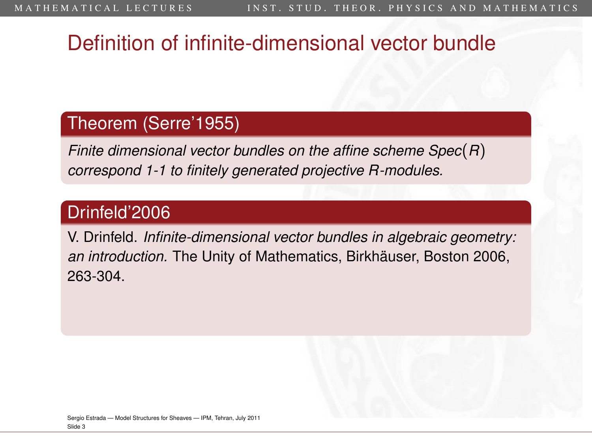# Definition of infinite-dimensional vector bundle

#### Theorem (Serre'1955)

*Finite dimensional vector bundles on the affine scheme Spec*(*R*) *correspond 1-1 to finitely generated projective R-modules.*

#### Drinfeld'2006

V. Drinfeld. *Infinite-dimensional vector bundles in algebraic geometry: an introduction.* The Unity of Mathematics, Birkhäuser, Boston 2006, 263-304.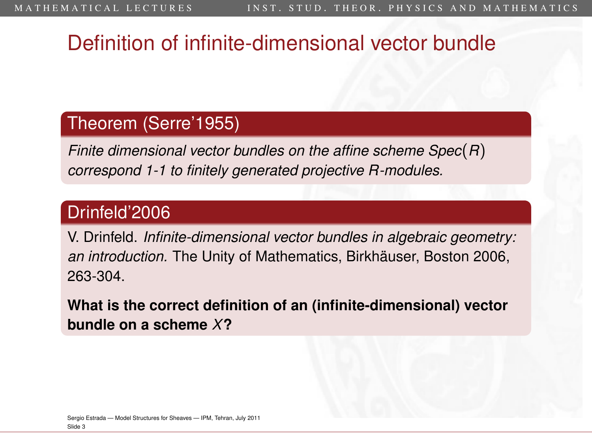# Definition of infinite-dimensional vector bundle

#### Theorem (Serre'1955)

*Finite dimensional vector bundles on the affine scheme Spec*(*R*) *correspond 1-1 to finitely generated projective R-modules.*

#### Drinfeld'2006

V. Drinfeld. *Infinite-dimensional vector bundles in algebraic geometry: an introduction.* The Unity of Mathematics, Birkhäuser, Boston 2006, 263-304.

**What is the correct definition of an (infinite-dimensional) vector bundle on a scheme** *X***?**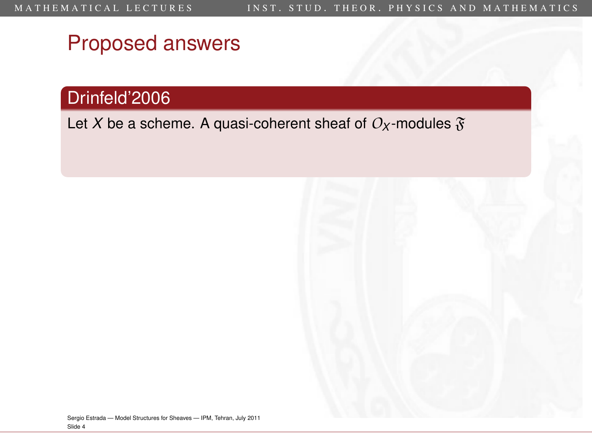#### Drinfeld'2006

Let *X* be a scheme. A quasi-coherent sheaf of  $O_X$ -modules  $\mathfrak{F}$ 

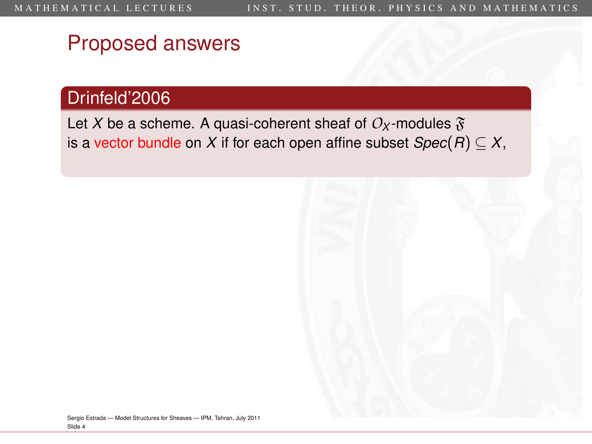#### Drinfeld'2006

Let *X* be a scheme. A quasi-coherent sheaf of  $O_X$ -modules  $\mathfrak{F}$ is a vector bundle on *X* if for each open affine subset  $Spec(R) \subseteq X$ ,

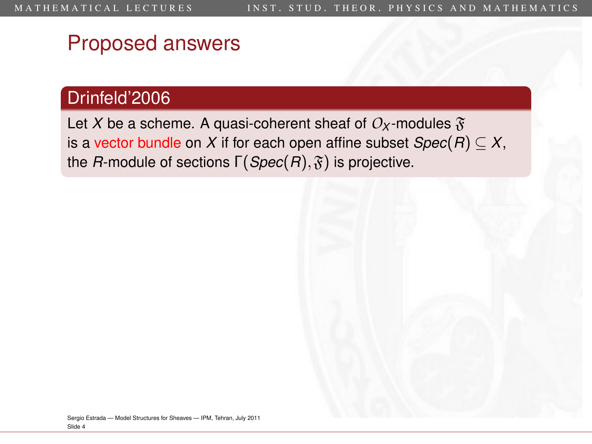#### Drinfeld'2006

Let *X* be a scheme. A quasi-coherent sheaf of  $O_X$ -modules  $\mathfrak{F}$ is a vector bundle on *X* if for each open affine subset  $Spec(R) \subseteq X$ , the *R*-module of sections  $\Gamma(Spec(R), \mathfrak{F})$  is projective.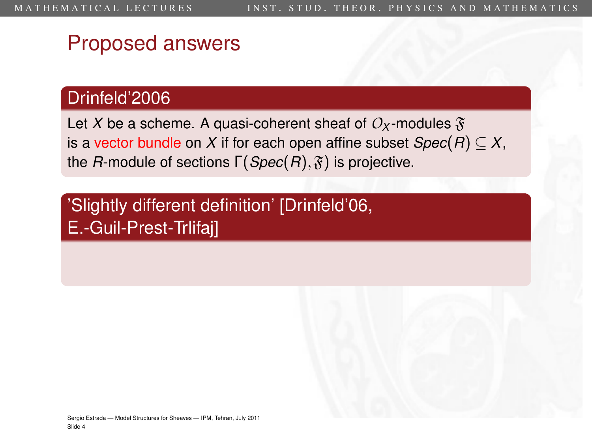#### Drinfeld'2006

Let X be a scheme. A quasi-coherent sheaf of  $O_X$ -modules  $\mathfrak{F}$ is a vector bundle on *X* if for each open affine subset  $Spec(R) \subseteq X$ , the *R*-module of sections  $\Gamma(Spec(R), \mathfrak{F})$  is projective.

'Slightly different definition' [Drinfeld'06, E.-Guil-Prest-Trlifaj]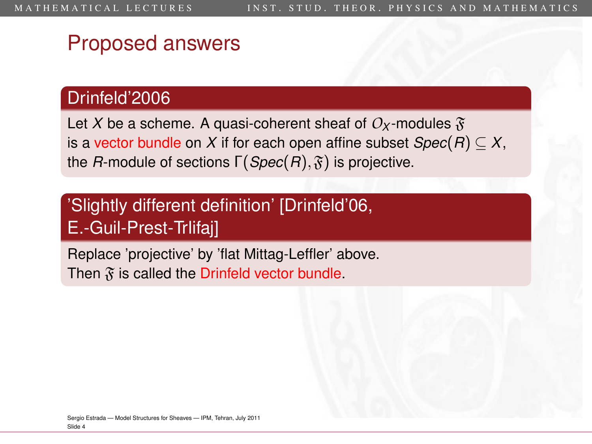#### Drinfeld'2006

Let X be a scheme. A quasi-coherent sheaf of  $O_X$ -modules  $\mathfrak{F}$ is a vector bundle on *X* if for each open affine subset  $Spec(R) \subseteq X$ , the *R*-module of sections  $\Gamma(Spec(R), \mathfrak{F})$  is projective.

#### 'Slightly different definition' [Drinfeld'06, E.-Guil-Prest-Trlifaj]

Replace 'projective' by 'flat Mittag-Leffler' above. Then  $\mathfrak{F}$  is called the Drinfeld vector bundle.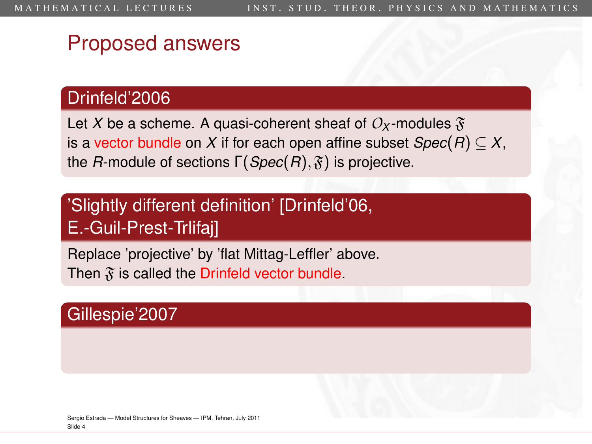#### Drinfeld'2006

Let X be a scheme. A quasi-coherent sheaf of  $O_X$ -modules  $\mathfrak{F}$ is a vector bundle on *X* if for each open affine subset  $Spec(R) \subseteq X$ , the *R*-module of sections  $\Gamma(Spec(R), \mathfrak{F})$  is projective.

#### 'Slightly different definition' [Drinfeld'06, E.-Guil-Prest-Trlifaj]

Replace 'projective' by 'flat Mittag-Leffler' above. Then  $\mathfrak{F}$  is called the Drinfeld vector bundle.

#### Gillespie'2007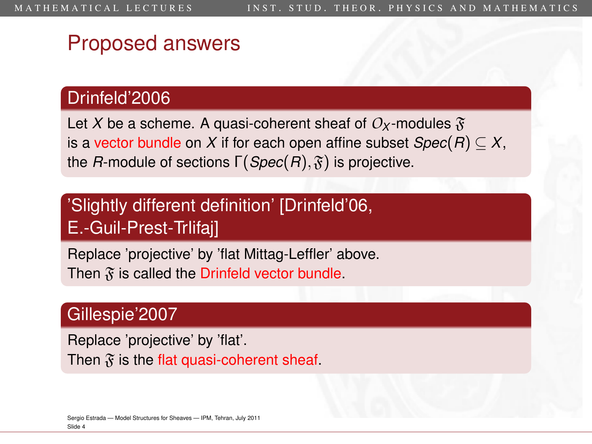#### Drinfeld'2006

Let X be a scheme. A quasi-coherent sheaf of  $O_X$ -modules  $\mathfrak{F}$ is a vector bundle on *X* if for each open affine subset  $Spec(R) \subseteq X$ , the *R*-module of sections  $\Gamma(Spec(R), \mathfrak{F})$  is projective.

#### 'Slightly different definition' [Drinfeld'06, E.-Guil-Prest-Trlifaj]

Replace 'projective' by 'flat Mittag-Leffler' above. Then  $\mathfrak{F}$  is called the Drinfeld vector bundle.

#### Gillespie'2007

Replace 'projective' by 'flat'. Then  $\mathfrak{F}$  is the flat quasi-coherent sheaf.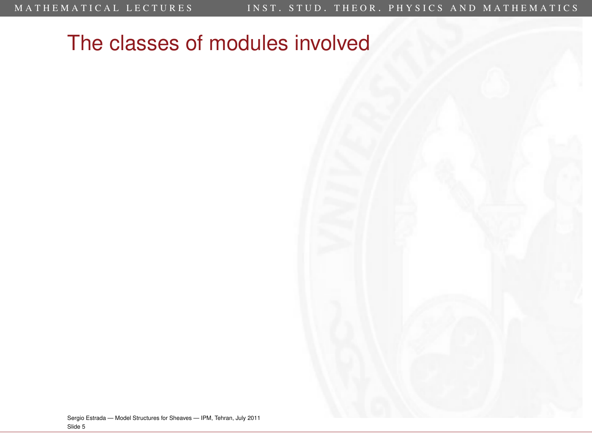<span id="page-12-0"></span>Sergio Estrada — [Model Structures for Sheaves](#page-0-0) — IPM, Tehran, July 2011 Slide 5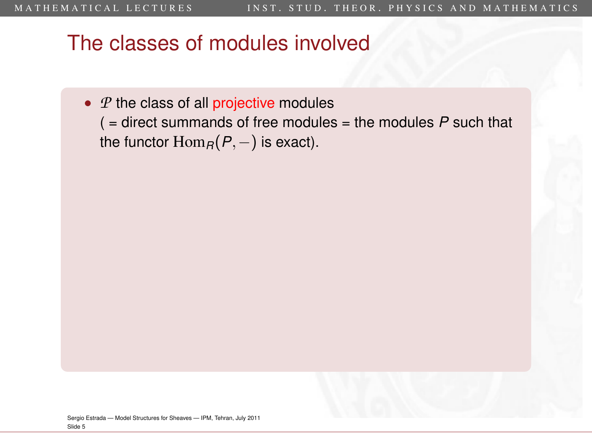- *P* the class of all projective modules
	- ( = direct summands of free modules = the modules *P* such that the functor  $\text{Hom}_R(P,-)$  is exact).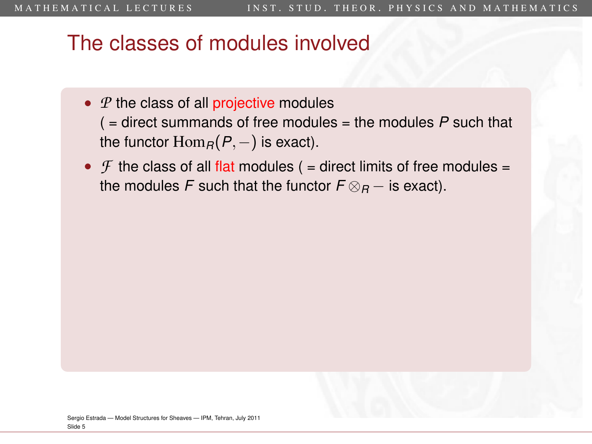- *P* the class of all projective modules
	- ( = direct summands of free modules = the modules *P* such that the functor  $\text{Hom}_R(P,-)$  is exact).
- $\mathcal F$  the class of all flat modules ( = direct limits of free modules = the modules *F* such that the functor  $F \otimes_R -$  is exact).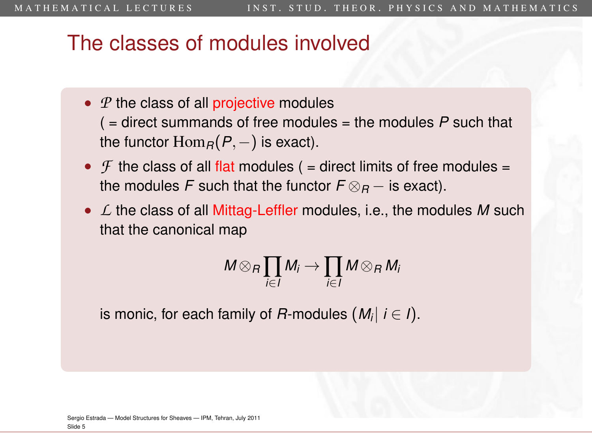- *P* the class of all projective modules
	- ( = direct summands of free modules = the modules *P* such that the functor  $\text{Hom}_R(P,-)$  is exact).
- $\mathcal F$  the class of all flat modules ( = direct limits of free modules = the modules *F* such that the functor  $F \otimes_R -$  is exact).
- *L* the class of all Mittag-Leffler modules, i.e., the modules *M* such that the canonical map

$$
M\otimes_R \prod_{i\in I}M_i\to \prod_{i\in I}M\otimes_R M_i
$$

is monic, for each family of *R*-modules (*M<sup>i</sup>* | *i* ∈ *I*).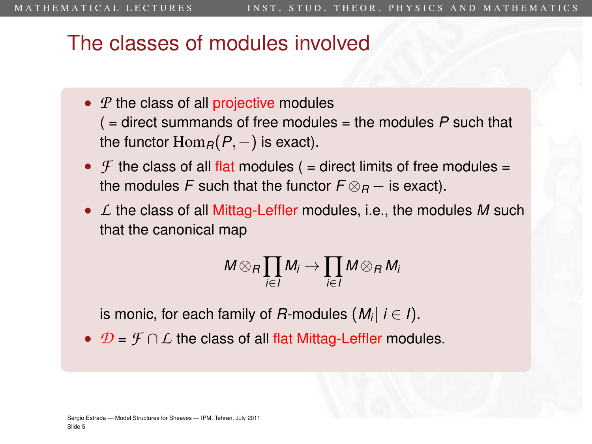- *P* the class of all projective modules
	- ( = direct summands of free modules = the modules *P* such that the functor  $\text{Hom}_R(P,-)$  is exact).
- $\mathcal F$  the class of all flat modules ( = direct limits of free modules = the modules *F* such that the functor  $F \otimes_R -$  is exact).
- *L* the class of all Mittag-Leffler modules, i.e., the modules *M* such that the canonical map

$$
M\otimes_R \prod_{i\in I}M_i\to \prod_{i\in I}M\otimes_R M_i
$$

is monic, for each family of *R*-modules (*M<sup>i</sup>* | *i* ∈ *I*).

• *D* = *F* ∩*L* the class of all flat Mittag-Leffler modules.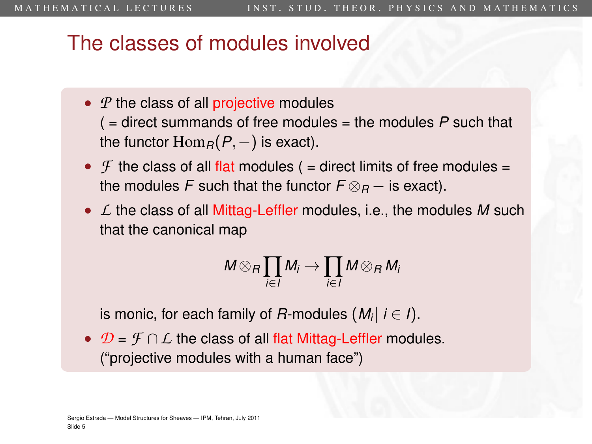- *P* the class of all projective modules
	- ( = direct summands of free modules = the modules *P* such that the functor  $\text{Hom}_R(P,-)$  is exact).
- $\mathcal F$  the class of all flat modules ( = direct limits of free modules = the modules *F* such that the functor  $F \otimes_R -$  is exact).
- *L* the class of all Mittag-Leffler modules, i.e., the modules *M* such that the canonical map

$$
M\otimes_R \prod_{i\in I}M_i\to \prod_{i\in I}M\otimes_R M_i
$$

is monic, for each family of *R*-modules (*M<sup>i</sup>* | *i* ∈ *I*).

• *D* = *F* ∩*L* the class of all flat Mittag-Leffler modules. ("projective modules with a human face")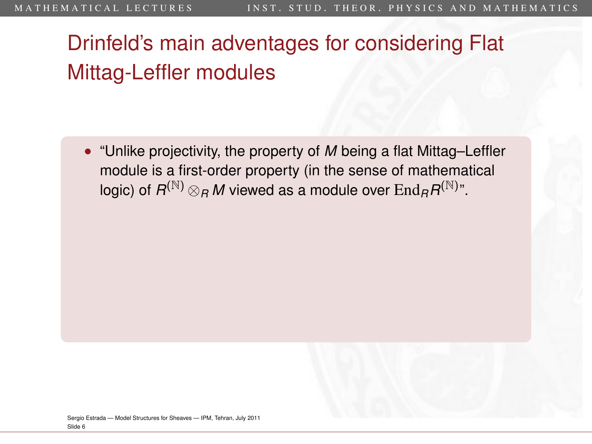• "Unlike projectivity, the property of *M* being a flat Mittag–Leffler module is a first-order property (in the sense of mathematical logic) of  $R^{(\mathbb{N})}\otimes_R M$  viewed as a module over  $\mathrm{End}_R R^{(\mathbb{N})^n}.$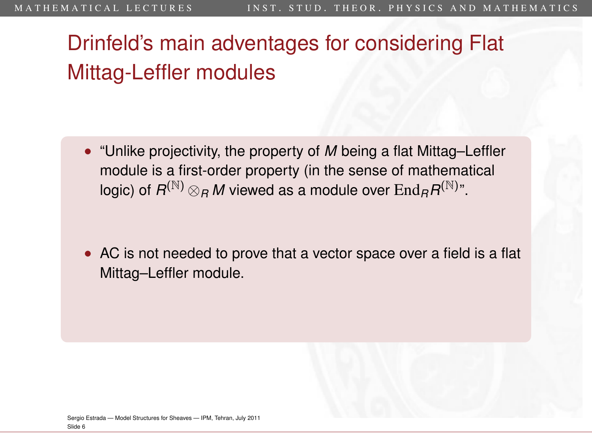• "Unlike projectivity, the property of *M* being a flat Mittag–Leffler module is a first-order property (in the sense of mathematical logic) of  $R^{(\mathbb{N})}\otimes_R M$  viewed as a module over  $\mathrm{End}_R R^{(\mathbb{N})^n}.$ 

• AC is not needed to prove that a vector space over a field is a flat Mittag–Leffler module.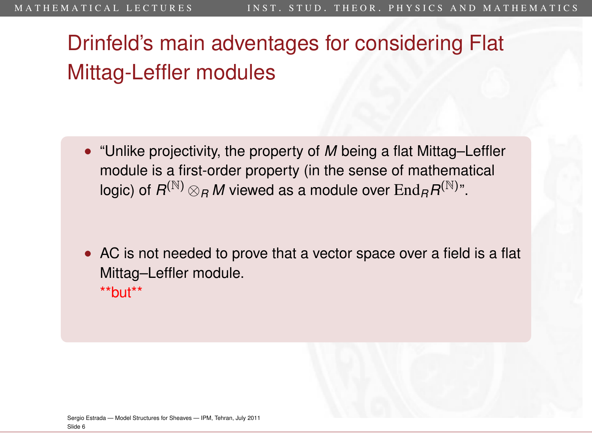- "Unlike projectivity, the property of *M* being a flat Mittag–Leffler module is a first-order property (in the sense of mathematical logic) of  $R^{(\mathbb{N})}\otimes_R M$  viewed as a module over  $\mathrm{End}_R R^{(\mathbb{N})^n}.$
- AC is not needed to prove that a vector space over a field is a flat Mittag–Leffler module.  $*$ but $*$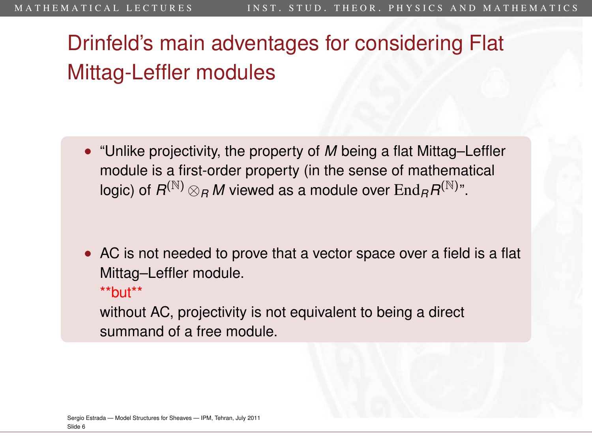• "Unlike projectivity, the property of *M* being a flat Mittag–Leffler module is a first-order property (in the sense of mathematical logic) of  $R^{(\mathbb{N})}\otimes_R M$  viewed as a module over  $\mathrm{End}_R R^{(\mathbb{N})^n}.$ 

• AC is not needed to prove that a vector space over a field is a flat Mittag–Leffler module.  $*$ but $*$ 

without AC, projectivity is not equivalent to being a direct summand of a free module.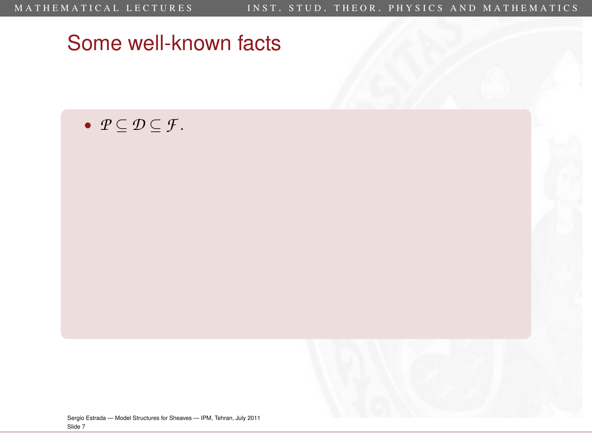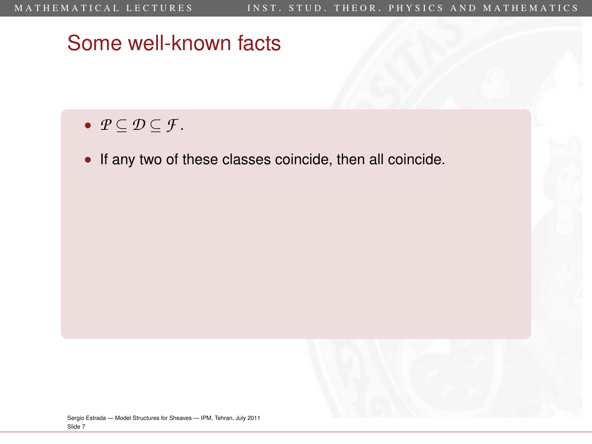- *P* ⊆ *D* ⊆ *F* .
- If any two of these classes coincide, then all coincide.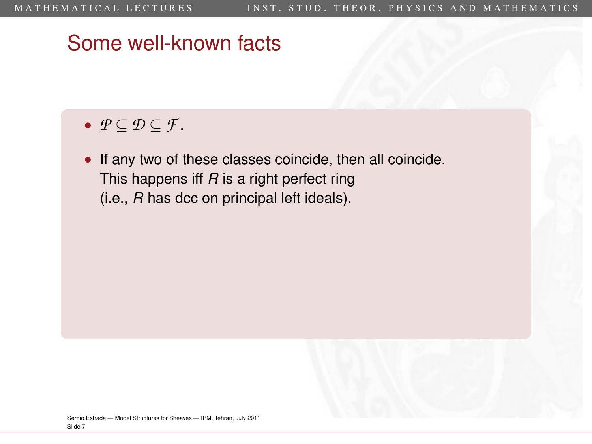- *P* ⊆ *D* ⊆ *F* .
- If any two of these classes coincide, then all coincide. This happens iff *R* is a right perfect ring (i.e., *R* has dcc on principal left ideals).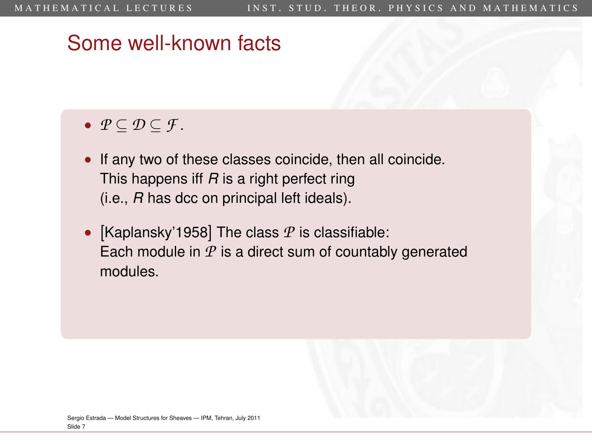- *P* ⊆ *D* ⊆ *F* .
- If any two of these classes coincide, then all coincide. This happens iff *R* is a right perfect ring (i.e., *R* has dcc on principal left ideals).
- [Kaplansky'1958] The class *P* is classifiable: Each module in *P* is a direct sum of countably generated modules.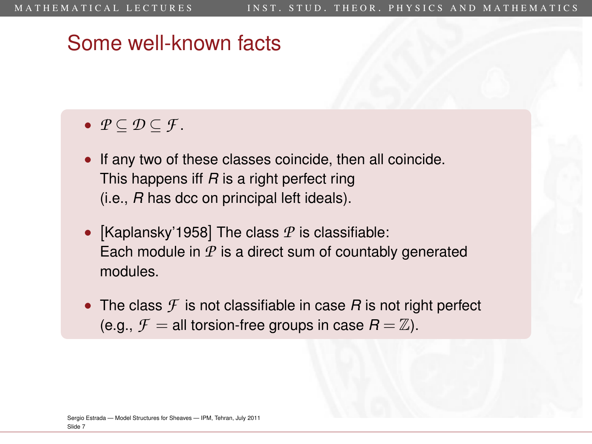- *P* ⊆ *D* ⊆ *F* .
- If any two of these classes coincide, then all coincide. This happens iff *R* is a right perfect ring (i.e., *R* has dcc on principal left ideals).
- [Kaplansky'1958] The class *P* is classifiable: Each module in *P* is a direct sum of countably generated modules.
- The class  $\mathcal F$  is not classifiable in case  $R$  is not right perfect (e.g.,  $\mathcal{F} =$  all torsion-free groups in case  $R = \mathbb{Z}$ ).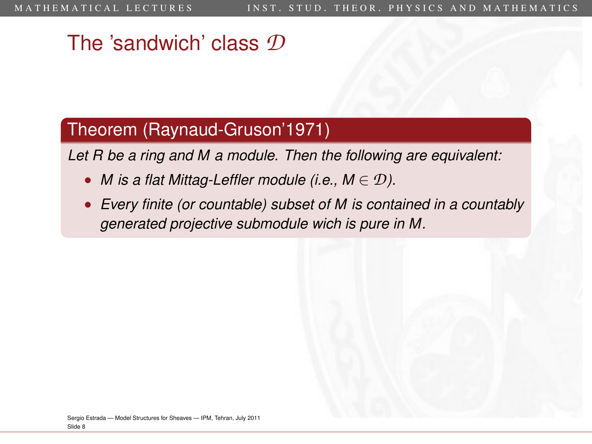### The 'sandwich' class *D*

#### Theorem (Raynaud-Gruson'1971)

*Let R be a ring and M a module. Then the following are equivalent:*

- *M* is a flat Mittag-Leffler module (i.e.,  $M \in \mathcal{D}$ ).
- *Every finite (or countable) subset of M is contained in a countably generated projective submodule wich is pure in M.*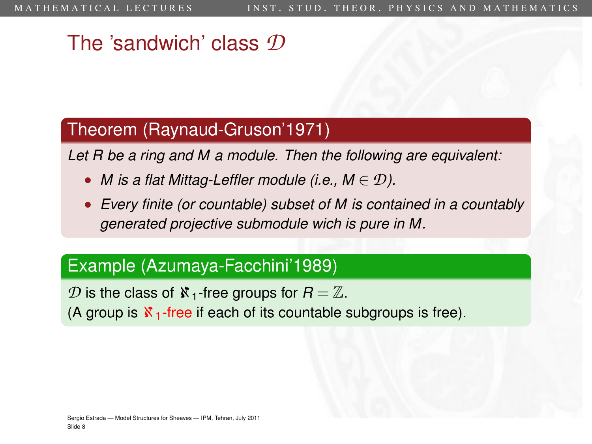### The 'sandwich' class *D*

#### Theorem (Raynaud-Gruson'1971)

*Let R be a ring and M a module. Then the following are equivalent:*

- *M* is a flat Mittag-Leffler module (i.e.,  $M \in \mathcal{D}$ ).
- *Every finite (or countable) subset of M is contained in a countably generated projective submodule wich is pure in M.*

#### Example (Azumaya-Facchini'1989)

*D* is the class of  $\aleph_1$ -free groups for  $R = \mathbb{Z}$ .

(A group is  $\mathbf{X}_1$ -free if each of its countable subgroups is free).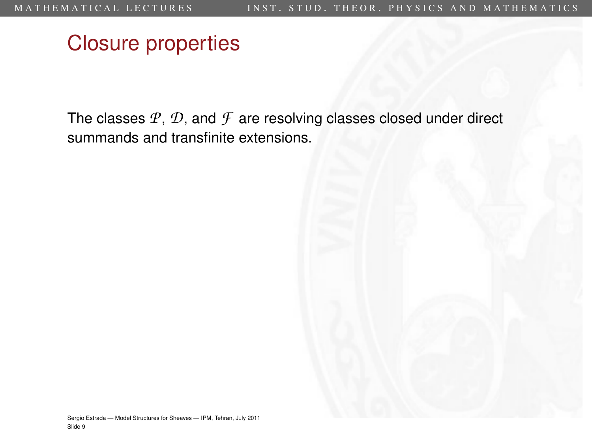The classes *P*, *D*, and *F* are resolving classes closed under direct summands and transfinite extensions.

<span id="page-29-0"></span>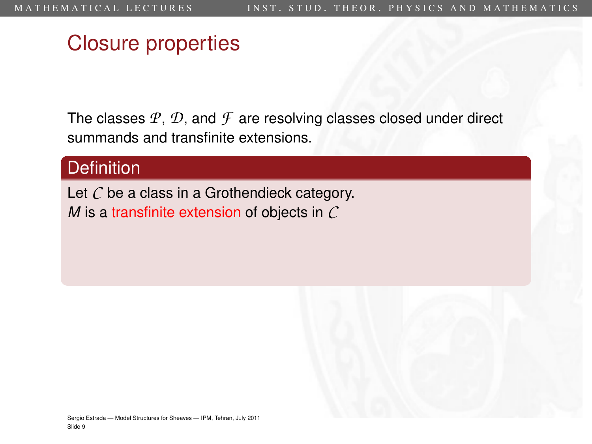The classes *P*, *D*, and *F* are resolving classes closed under direct summands and transfinite extensions.

#### **Definition**

Let *C* be a class in a Grothendieck category. *M* is a transfinite extension of objects in *C*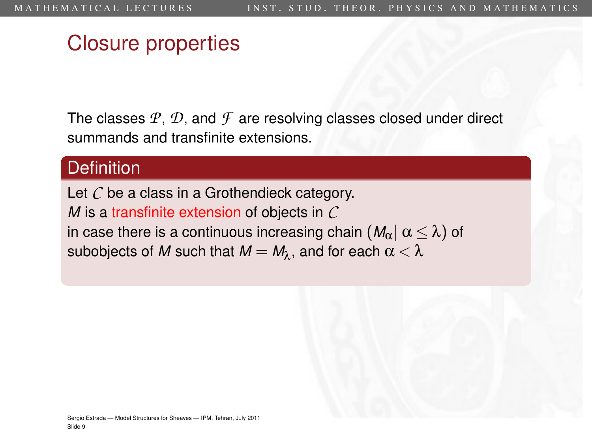The classes *P*, *D*, and *F* are resolving classes closed under direct summands and transfinite extensions.

#### **Definition**

Let *C* be a class in a Grothendieck category. *M* is a transfinite extension of objects in *C* in case there is a continuous increasing chain  $(M_\alpha) \alpha \leq \lambda$ ) of subobjects of *M* such that  $M = M_{\lambda}$ , and for each  $\alpha < \lambda$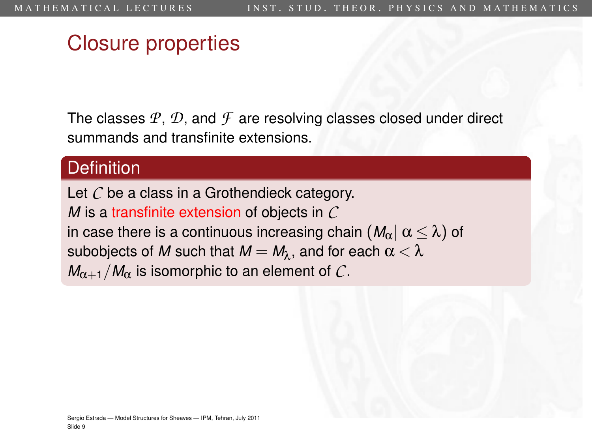The classes *P*, *D*, and *F* are resolving classes closed under direct summands and transfinite extensions.

#### **Definition**

Let *C* be a class in a Grothendieck category. *M* is a transfinite extension of objects in *C* in case there is a continuous increasing chain  $(M_\alpha) \alpha \leq \lambda$ ) of subobjects of *M* such that  $M = M_{\lambda}$ , and for each  $\alpha < \lambda$  $M_{\alpha+1}/M_{\alpha}$  is isomorphic to an element of C.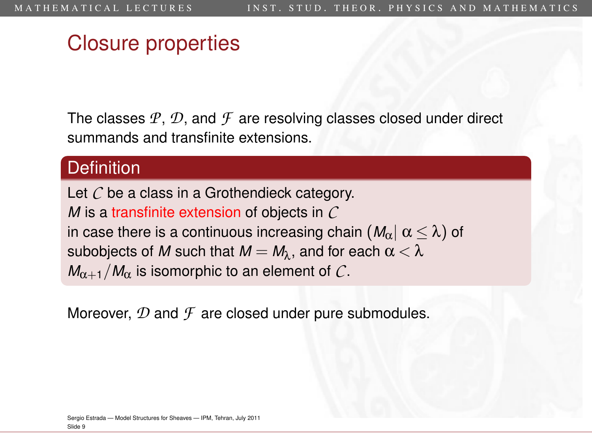The classes *P*, *D*, and *F* are resolving classes closed under direct summands and transfinite extensions.

#### **Definition**

Let *C* be a class in a Grothendieck category. *M* is a transfinite extension of objects in *C* in case there is a continuous increasing chain  $(M_\alpha) \alpha \leq \lambda$ ) of subobjects of M such that  $M = M_\lambda$ , and for each  $\alpha < \lambda$  $M_{\alpha+1}/M_{\alpha}$  is isomorphic to an element of C.

Moreover, *D* and *F* are closed under pure submodules.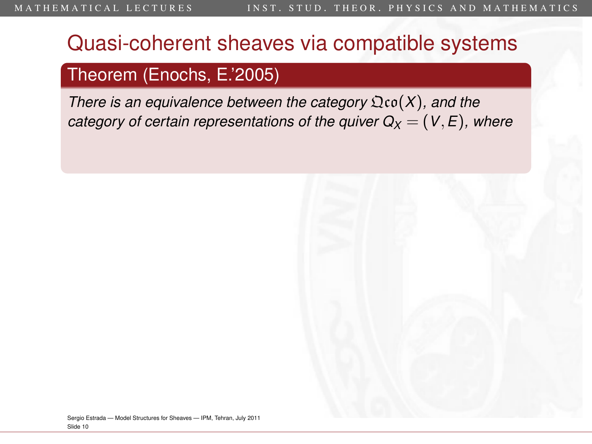### Quasi-coherent sheaves via compatible systems

#### Theorem (Enochs, E.'2005)

*There is an equivalence between the category*  $\mathfrak{Q}$ co( $X$ ), and the *category of certain representations of the quiver*  $Q_X = (V, E)$ *, where* 

<span id="page-34-0"></span>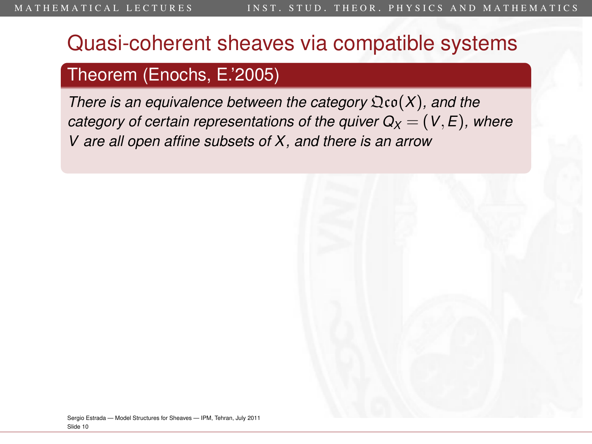### Quasi-coherent sheaves via compatible systems

#### Theorem (Enochs, E.'2005)

*There is an equivalence between the category*  $\mathfrak{Q}$ co( $X$ ), and the *category of certain representations of the quiver*  $Q_X = (V, E)$ *, where V are all open affine subsets of X, and there is an arrow*

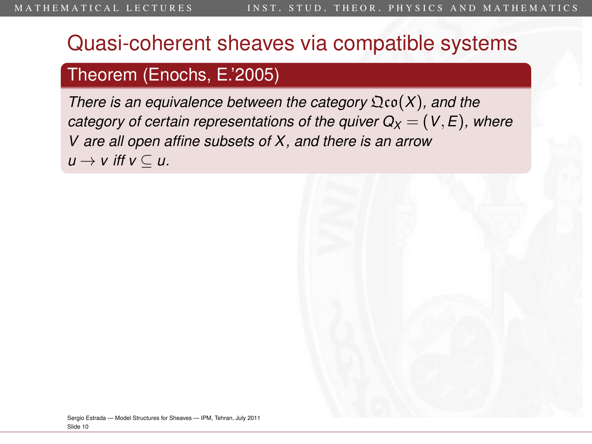## Theorem (Enochs, E.'2005)

*There is an equivalence between the category*  $\mathfrak{Q}$ co( $X$ ), and the *category of certain representations of the quiver*  $Q_X = (V, E)$ *, where V are all open affine subsets of X, and there is an arrow*  $u \rightarrow v$  *iff*  $v \subseteq u$ .

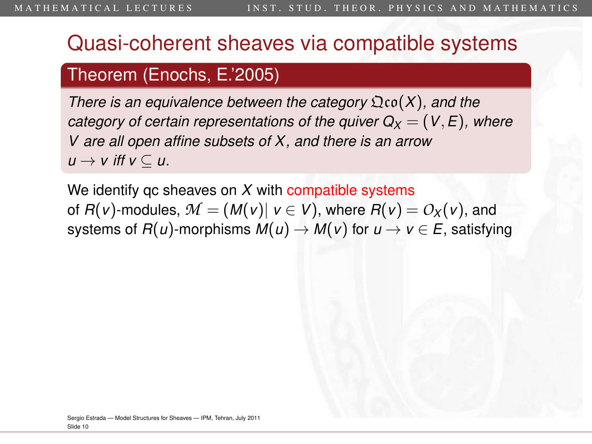### Theorem (Enochs, E.'2005)

*There is an equivalence between the category* Qco(*X*)*, and the category of certain representations of the quiver*  $Q_X = (V, E)$ *, where V are all open affine subsets of X, and there is an arrow*  $u \rightarrow v$  *iff*  $v \subseteq u$ .

We identify qc sheaves on *X* with compatible systems of  $F(v)$ -modules,  $M = (M(v) | v \in V)$ , where  $F(v) = O_X(v)$ , and systems of  $R(u)$ -morphisms  $M(u) \to M(v)$  for  $u \to v \in E$ , satisfying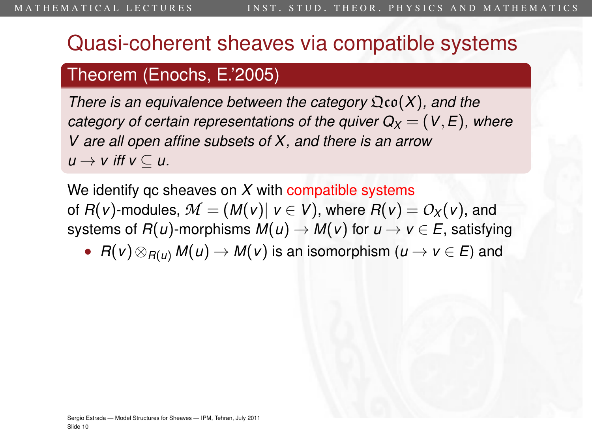### Theorem (Enochs, E.'2005)

*There is an equivalence between the category* Qco(*X*)*, and the category of certain representations of the quiver*  $Q_X = (V, E)$ *, where V are all open affine subsets of X, and there is an arrow*  $u \rightarrow v$  *iff*  $v \subseteq u$ .

We identify qc sheaves on *X* with compatible systems of  $F(v)$ -modules,  $M = (M(v) | v \in V)$ , where  $F(v) = O_X(v)$ , and systems of  $R(u)$ -morphisms  $M(u) \to M(v)$  for  $u \to v \in E$ , satisfying

•  $R(v) \otimes_{R(u)} M(u) \to M(v)$  is an isomorphism  $(u \to v \in E)$  and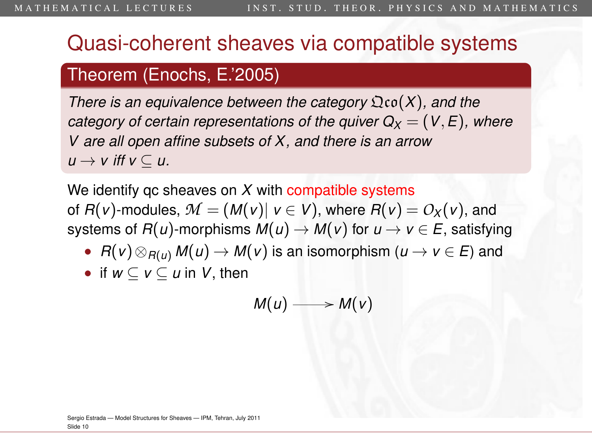### Theorem (Enochs, E.'2005)

*There is an equivalence between the category* Qco(*X*)*, and the category of certain representations of the quiver*  $Q_X = (V, E)$ *, where V are all open affine subsets of X, and there is an arrow*  $u \rightarrow v$  *iff*  $v \subseteq u$ .

We identify qc sheaves on *X* with compatible systems of  $F(v)$ -modules,  $M = (M(v) | v \in V)$ , where  $F(v) = O_X(v)$ , and systems of  $R(u)$ -morphisms  $M(u) \to M(v)$  for  $u \to v \in E$ , satisfying

- $R(v) \otimes_{R(u)} M(u) \to M(v)$  is an isomorphism  $(u \to v \in E)$  and
- if  $w \subseteq v \subseteq u$  in *V*, then

$$
M(u) \longrightarrow M(v)
$$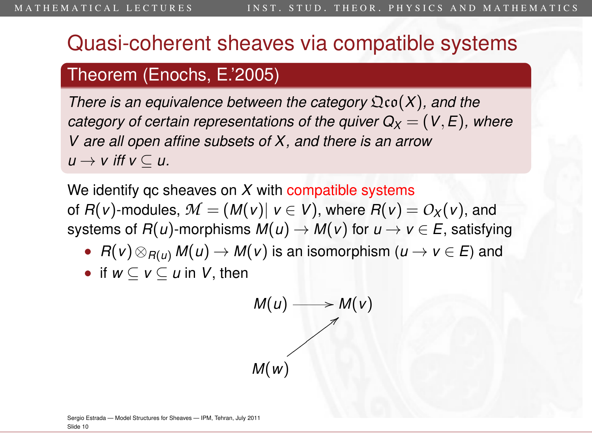### Theorem (Enochs, E.'2005)

*There is an equivalence between the category* Qco(*X*)*, and the category of certain representations of the quiver*  $Q_X = (V, E)$ *, where V are all open affine subsets of X, and there is an arrow*  $u \rightarrow v$  *iff*  $v \subseteq u$ .

We identify qc sheaves on *X* with compatible systems of  $R(v)$ -modules,  $M = (M(v) | v \in V)$ , where  $R(v) = O_X(v)$ , and systems of  $R(u)$ -morphisms  $M(u) \to M(v)$  for  $u \to v \in E$ , satisfying

- $R(v) \otimes_{R(u)} M(u) \to M(v)$  is an isomorphism  $(u \to v \in E)$  and
- if  $w \subset v \subset u$  in *V*, then



Sergio Estrada — [Model Structures for Sheaves](#page-0-0) — IPM, Tehran, July 2011 Slide 10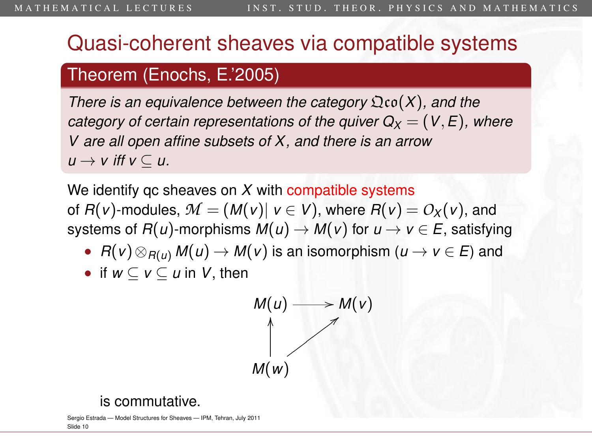### Theorem (Enochs, E.'2005)

*There is an equivalence between the category* Qco(*X*)*, and the category of certain representations of the quiver*  $Q_X = (V, E)$ *, where V are all open affine subsets of X, and there is an arrow*  $u \rightarrow v$  *iff*  $v \subseteq u$ .

We identify qc sheaves on *X* with compatible systems of  $R(v)$ -modules,  $M = (M(v) | v \in V)$ , where  $R(v) = O_X(v)$ , and systems of  $R(u)$ -morphisms  $M(u) \to M(v)$  for  $u \to v \in E$ , satisfying

- $R(v) \otimes_{R(u)} M(u) \to M(v)$  is an isomorphism  $(u \to v \in E)$  and
- if  $w \subset v \subset u$  in *V*, then



#### is commutative.

Sergio Estrada — [Model Structures for Sheaves](#page-0-0) — IPM, Tehran, July 2011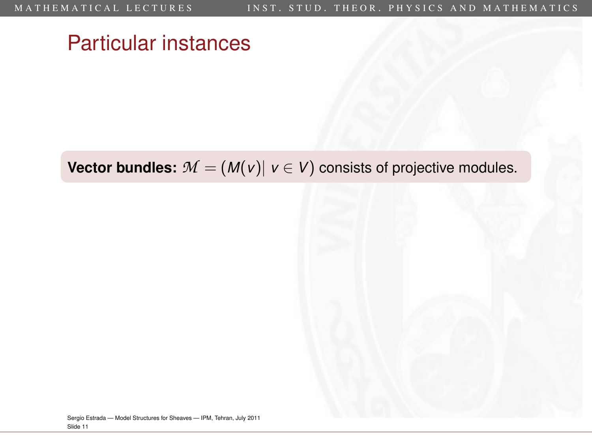## Particular instances

**Vector bundles:**  $M = (M(v) | v \in V)$  consists of projective modules.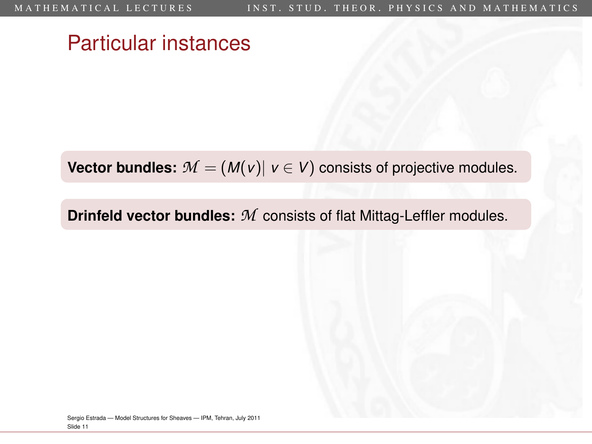## Particular instances

**Vector bundles:**  $M = (M(v)) v \in V$  consists of projective modules.

**Drinfeld vector bundles:** *M* consists of flat Mittag-Leffler modules.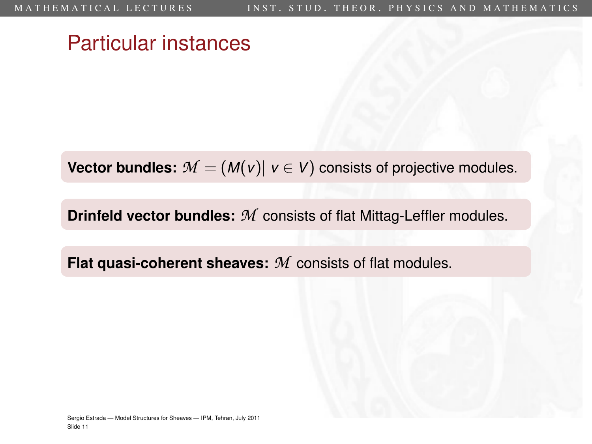## Particular instances

**Vector bundles:**  $M = (M(v) | v \in V)$  consists of projective modules.

**Drinfeld vector bundles:** *M* consists of flat Mittag-Leffler modules.

**Flat quasi-coherent sheaves:** *M* consists of flat modules.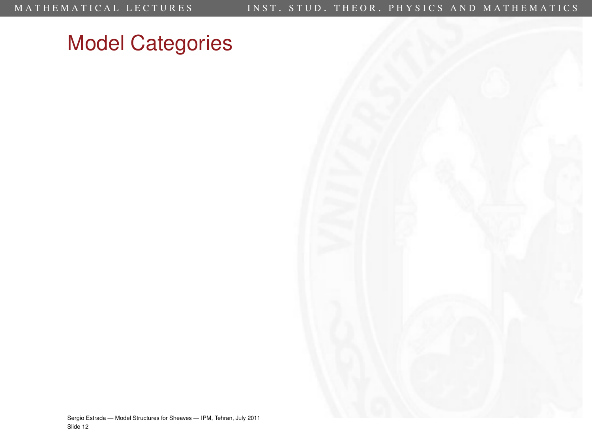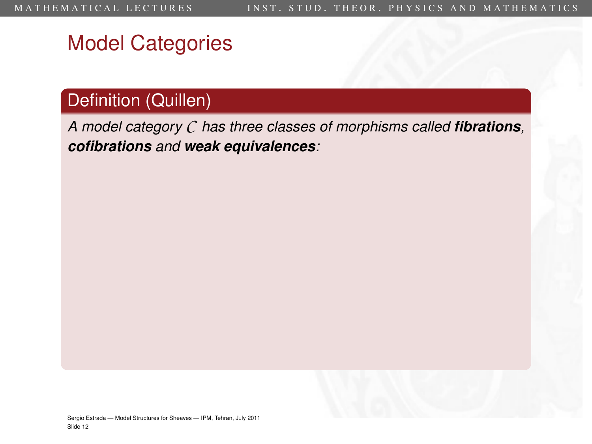## Definition (Quillen)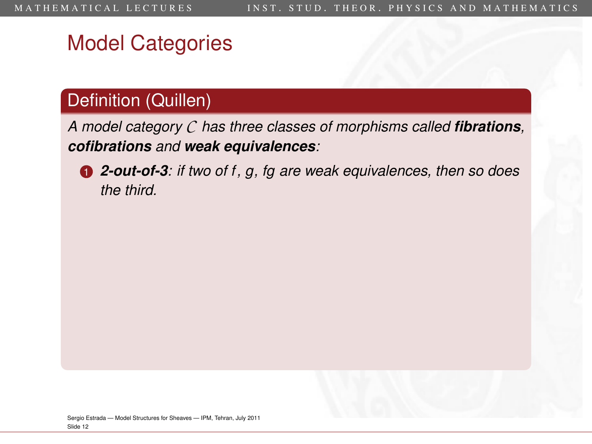### Definition (Quillen)

*A model category C has three classes of morphisms called fibrations, cofibrations and weak equivalences:*



<sup>1</sup> *2-out-of-3: if two of f, g, fg are weak equivalences, then so does the third.*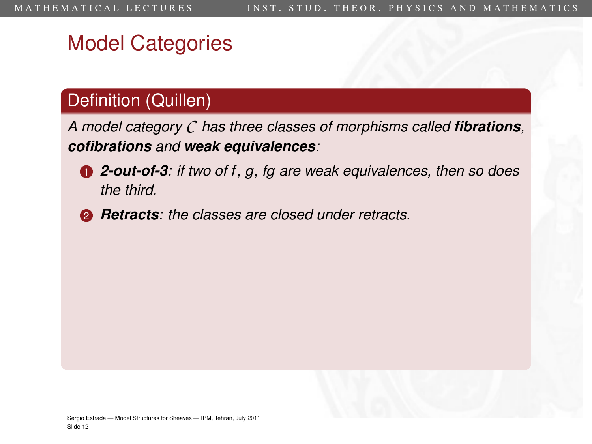### Definition (Quillen)

- <sup>1</sup> *2-out-of-3: if two of f, g, fg are weak equivalences, then so does the third.*
- <sup>2</sup> *Retracts: the classes are closed under retracts.*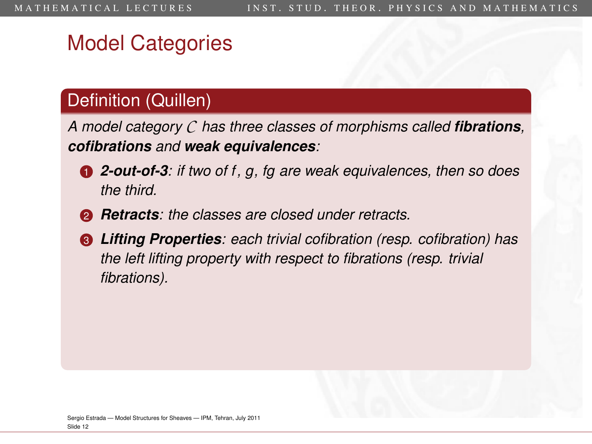## Definition (Quillen)

- <sup>1</sup> *2-out-of-3: if two of f, g, fg are weak equivalences, then so does the third.*
- <sup>2</sup> *Retracts: the classes are closed under retracts.*
- <sup>3</sup> *Lifting Properties: each trivial cofibration (resp. cofibration) has the left lifting property with respect to fibrations (resp. trivial fibrations).*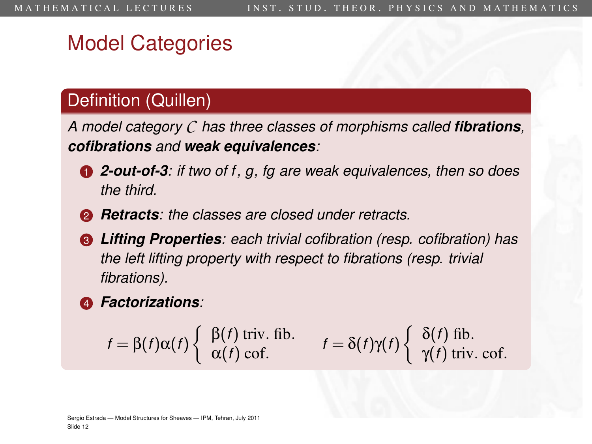## Definition (Quillen)

- <sup>1</sup> *2-out-of-3: if two of f, g, fg are weak equivalences, then so does the third.*
- <sup>2</sup> *Retracts: the classes are closed under retracts.*
- <sup>3</sup> *Lifting Properties: each trivial cofibration (resp. cofibration) has the left lifting property with respect to fibrations (resp. trivial fibrations).*
- <sup>4</sup> *Factorizations:*

$$
f = \beta(f)\alpha(f) \begin{cases} \beta(f) \text{ triv. fib.} \\ \alpha(f) \text{ cof.} \end{cases} \qquad f = \delta(f)\gamma(f) \begin{cases} \delta(f) \text{ fib.} \\ \gamma(f) \text{ triv. cof.} \end{cases}
$$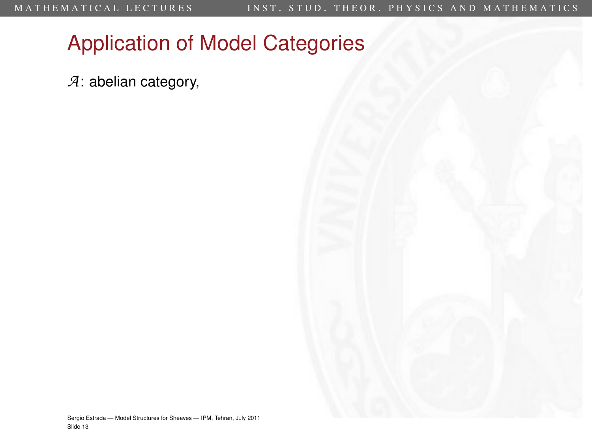*A*: abelian category,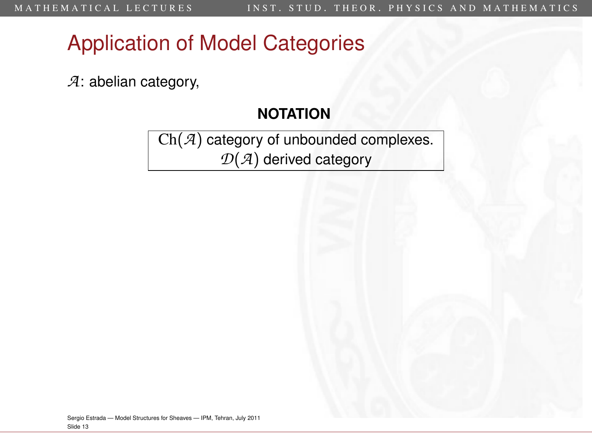*A*: abelian category,

#### **NOTATION**

Ch(*A*) category of unbounded complexes. *D*(*A*) derived category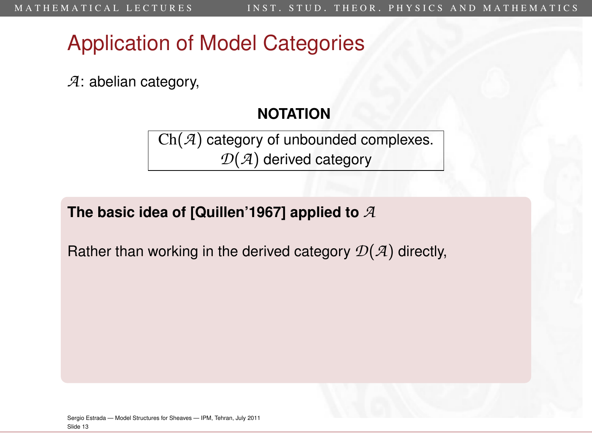*A*: abelian category,

#### **NOTATION**

Ch(*A*) category of unbounded complexes. *D*(*A*) derived category

**The basic idea of [Quillen'1967] applied to** *A*

Rather than working in the derived category *D*(*A*) directly,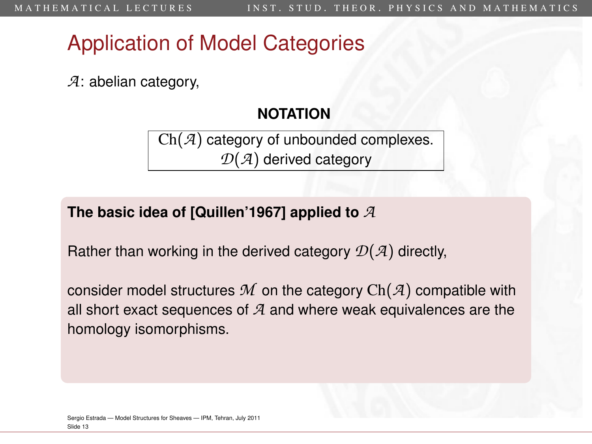*A*: abelian category,

#### **NOTATION**

Ch(*A*) category of unbounded complexes. *D*(*A*) derived category

#### **The basic idea of [Quillen'1967] applied to** *A*

Rather than working in the derived category *D*(*A*) directly,

consider model structures *M* on the category Ch(*A*) compatible with all short exact sequences of *A* and where weak equivalences are the homology isomorphisms.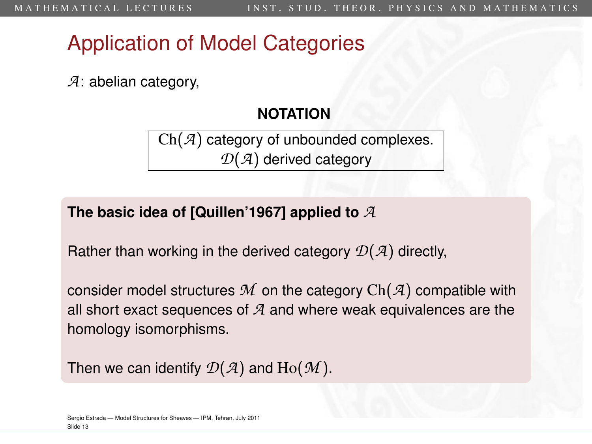*A*: abelian category,

#### **NOTATION**

Ch(*A*) category of unbounded complexes. *D*(*A*) derived category

#### **The basic idea of [Quillen'1967] applied to** *A*

Rather than working in the derived category *D*(*A*) directly,

consider model structures *M* on the category Ch(*A*) compatible with all short exact sequences of *A* and where weak equivalences are the homology isomorphisms.

Then we can identify  $\mathcal{D}(\mathcal{A})$  and  $\text{Ho}(\mathcal{M})$ .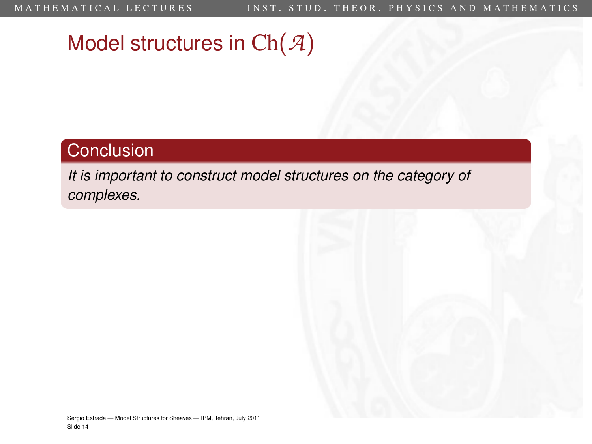# Model structures in Ch(*A*)

### **Conclusion**

*It is important to construct model structures on the category of complexes.*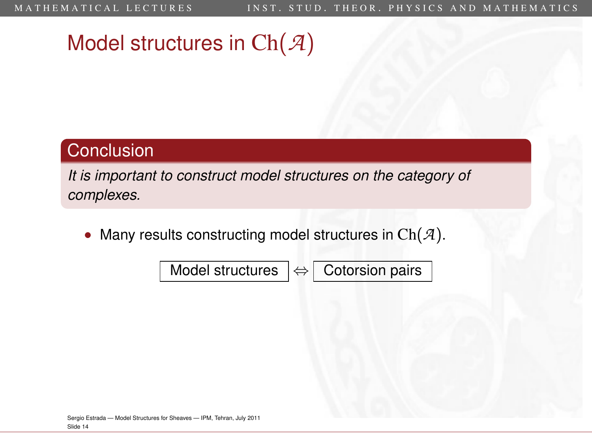# Model structures in Ch(*A*)

#### **Conclusion**

*It is important to construct model structures on the category of complexes.*

Many results constructing model structures in  $Ch(\mathcal{A})$ .

Model structures  $\left| \Leftrightarrow \right|$  Cotorsion pairs

Sergio Estrada — [Model Structures for Sheaves](#page-0-0) — IPM, Tehran, July 2011 Slide 14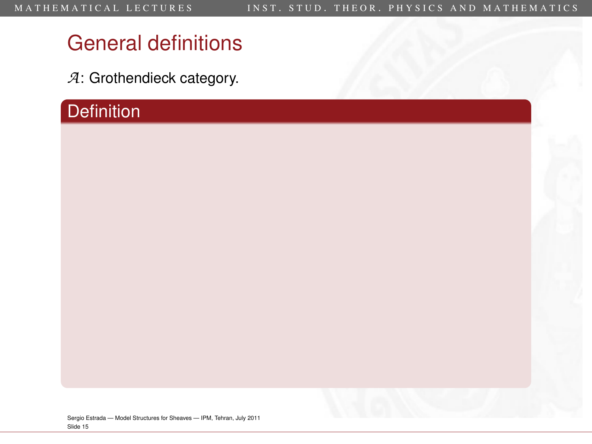*A*: Grothendieck category.

## **Definition**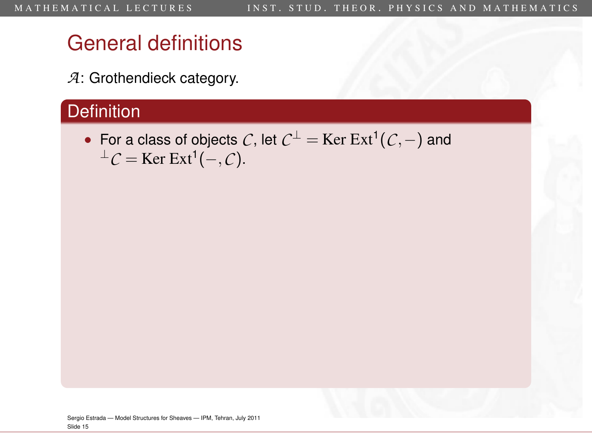*A*: Grothendieck category.

### **Definition**

• For a class of objects *C*, let *C* <sup>⊥</sup> = Ker Ext<sup>1</sup> (*C*,−) and  $<sup>⊥</sup>C = \text{Ker Ext}^1(-, C).$ </sup>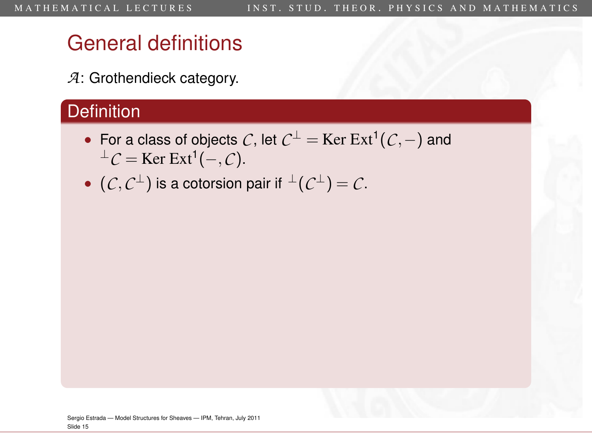*A*: Grothendieck category.

### **Definition**

- For a class of objects *C*, let *C* <sup>⊥</sup> = Ker Ext<sup>1</sup> (*C*,−) and  $<sup>⊥</sup>C = \text{Ker Ext}^1(-, C).$ </sup>
- $\bullet$   $(C, C^{\perp})$  is a cotorsion pair if  $\perp (C^{\perp}) = C$ .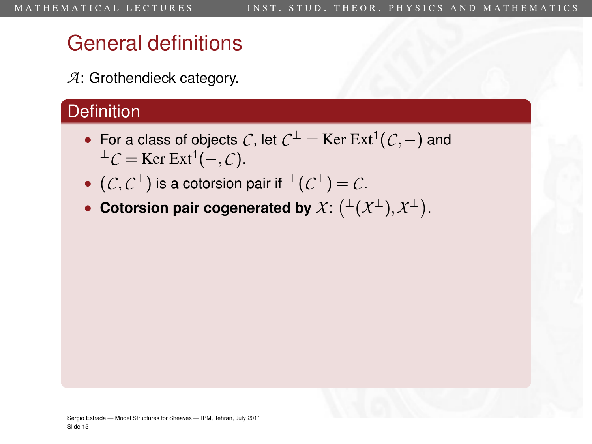*A*: Grothendieck category.

### **Definition**

- For a class of objects *C*, let *C* <sup>⊥</sup> = Ker Ext<sup>1</sup> (*C*,−) and  $<sup>⊥</sup>C = \text{Ker Ext}^1(-, C).$ </sup>
- $\bullet$   $(C, C^{\perp})$  is a cotorsion pair if  $\perp (C^{\perp}) = C$ .
- Cotorsion pair cogenerated by  $\mathcal{X} \colon \bigl( {}^{\perp}(\mathcal{X}^{\perp}), \mathcal{X}^{\perp} \bigr).$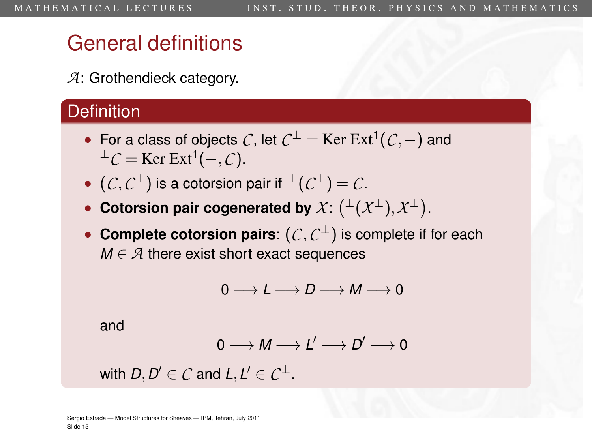*A*: Grothendieck category.

### **Definition**

- For a class of objects *C*, let *C* <sup>⊥</sup> = Ker Ext<sup>1</sup> (*C*,−) and  $<sup>⊥</sup>C = \text{Ker Ext}^1(-, C).$ </sup>
- $\bullet$   $(C, C^{\perp})$  is a cotorsion pair if  $\perp (C^{\perp}) = C$ .
- Cotorsion pair cogenerated by  $\mathcal{X} \colon \bigl( {}^{\perp}(\mathcal{X}^{\perp}), \mathcal{X}^{\perp} \bigr).$
- **Complete cotorsion pairs**: (*C*,*C* <sup>⊥</sup>) is complete if for each  $M \in \mathcal{A}$  there exist short exact sequences

$$
0\longrightarrow L\longrightarrow D\longrightarrow M\longrightarrow 0
$$

and

$$
0\longrightarrow M\longrightarrow L'\longrightarrow D'\longrightarrow 0
$$

with  $D, D' \in \mathcal{C}$  and  $L, L' \in \mathcal{C}^{\perp}$ .

Sergio Estrada — [Model Structures for Sheaves](#page-0-0) — IPM, Tehran, July 2011 Slide 15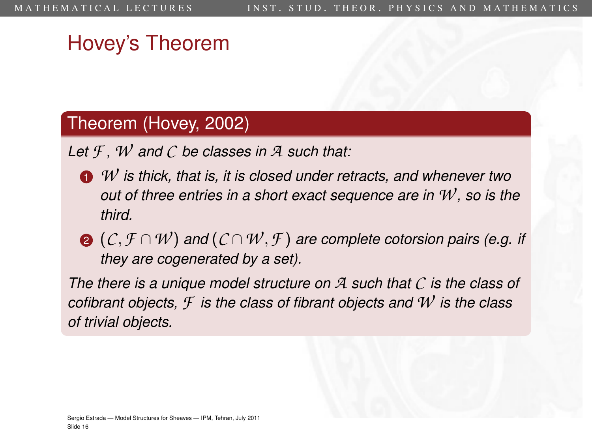## Hovey's Theorem

#### Theorem (Hovey, 2002)

*Let F , W and C be classes in A such that:*

- <sup>1</sup> *W is thick, that is, it is closed under retracts, and whenever two out of three entries in a short exact sequence are in W , so is the third.*
- <sup>2</sup> (*C*,*F* ∩*W* ) *and* (*C* ∩*W* ,*F* ) *are complete cotorsion pairs (e.g. if they are cogenerated by a set).*

*The there is a unique model structure on A such that C is the class of cofibrant objects, F is the class of fibrant objects and W is the class of trivial objects.*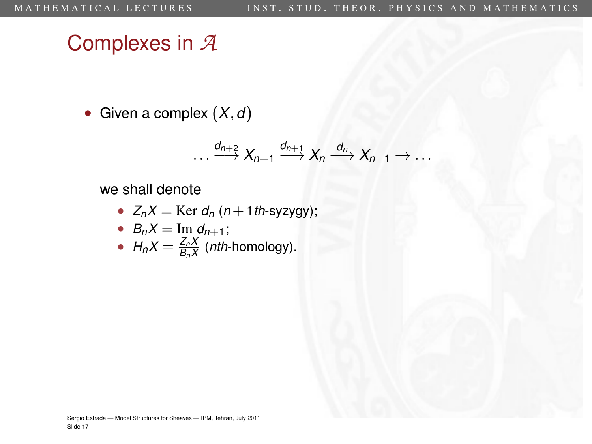# Complexes in *A*

• Given a complex (*X*,*d*)

$$
\ldots \xrightarrow{d_{n+2}} X_{n+1} \xrightarrow{d_{n+1}} X_n \xrightarrow{d_n} X_{n-1} \to \ldots
$$

we shall denote

• 
$$
Z_nX = \text{Ker } d_n \ (n + 1 \text{th-syzygy});
$$

\n- $$
B_n X = \text{Im } d_{n+1};
$$
\n- $H_n X = \frac{Z_n X}{B_n X}$  (nth-homology).
\n

Sergio Estrada — [Model Structures for Sheaves](#page-0-0) — IPM, Tehran, July 2011 Slide 17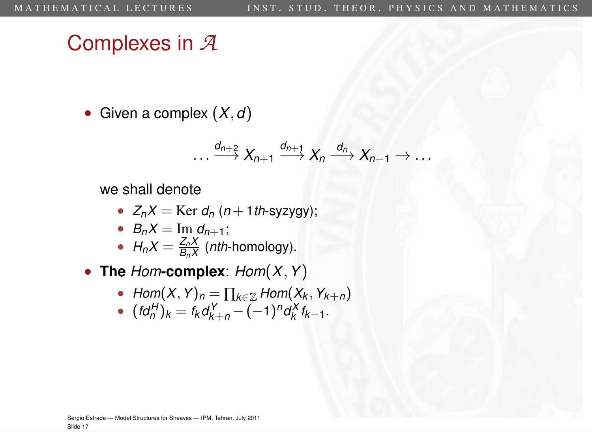## Complexes in *A*

• Given a complex (*X*,*d*)

$$
\ldots \xrightarrow{d_{n+2}} X_{n+1} \xrightarrow{d_{n+1}} X_n \xrightarrow{d_n} X_{n-1} \to \ldots
$$

we shall denote

•  $Z_nX = \text{Ker } d_n$  (*n* + 1*th*-syzygy);

• 
$$
B_n X = \text{Im } d_{n+1}
$$
;

• 
$$
H_n X = \frac{Z_n X}{B_n X}
$$
 (*nth*-homology).

• **The** *Hom***-complex**: *Hom*(*X*,*Y*)

- *Hom* $(X, Y)_n = \prod_{k \in \mathbb{Z}}$  *Hom* $(X_k, Y_{k+n})$
- $(\textit{fd}_{n}^{H})_{k} = \textit{f}_{k} \textit{d}_{k+n}^{Y} (-1)^{n} \textit{d}_{k}^{X} \textit{f}_{k-1}.$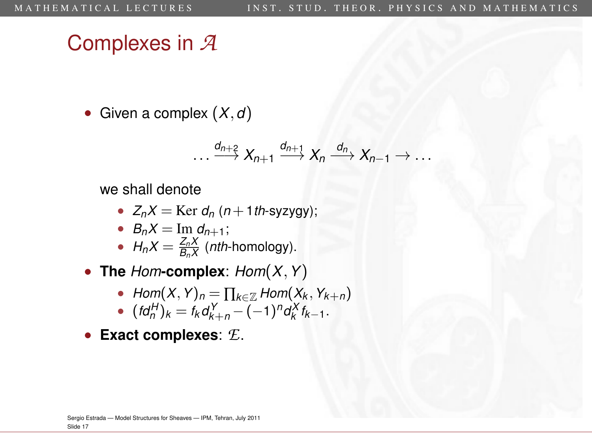## Complexes in *A*

• Given a complex (*X*,*d*)

$$
\ldots \xrightarrow{d_{n+2}} X_{n+1} \xrightarrow{d_{n+1}} X_n \xrightarrow{d_n} X_{n-1} \to \ldots
$$

we shall denote

•  $Z_nX = \text{Ker } d_n$  (*n* + 1*th*-syzygy);

• 
$$
B_n X = \text{Im } d_{n+1}
$$
;

• 
$$
H_n X = \frac{Z_n X}{B_n X}
$$
 (*nth*-homology).

• **The** *Hom***-complex**: *Hom*(*X*,*Y*)

- *Hom* $(X, Y)_n = \prod_{k \in \mathbb{Z}}$  *Hom* $(X_k, Y_{k+n})$
- $(\textit{fd}_{n}^{H})_{k} = \textit{f}_{k} \textit{d}_{k+n}^{Y} (-1)^{n} \textit{d}_{k}^{X} \textit{f}_{k-1}.$
- **Exact complexes**: *E*.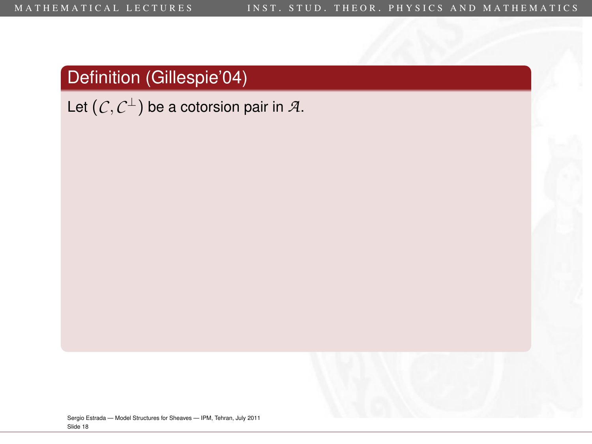Let  $(\mathcal{C}, \mathcal{C}^\perp)$  be a cotorsion pair in  $\mathcal{A}.$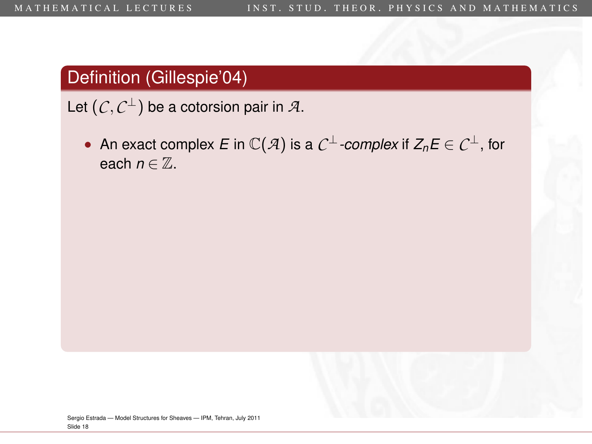Let  $(\mathcal{C}, \mathcal{C}^\perp)$  be a cotorsion pair in  $\mathcal{A}.$ 

• An exact complex *<sup>E</sup>* in C(*A*) is a *C* <sup>⊥</sup>*-complex* if *<sup>Z</sup>n<sup>E</sup>* ∈ *C* <sup>⊥</sup>, for each  $n \in \mathbb{Z}$ .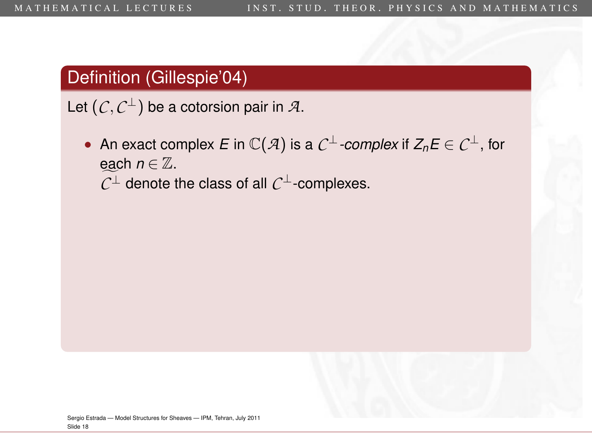Let  $(\mathcal{C}, \mathcal{C}^\perp)$  be a cotorsion pair in  $\mathcal{A}.$ 

• An exact complex *<sup>E</sup>* in C(*A*) is a *C* <sup>⊥</sup>*-complex* if *<sup>Z</sup>n<sup>E</sup>* ∈ *C* <sup>⊥</sup>, for each  $n \in \mathbb{Z}$ .  $C<sup>⊥</sup>$  denote the class of all  $C<sup>⊥</sup>$ -complexes.

Sergio Estrada — [Model Structures for Sheaves](#page-0-0) — IPM, Tehran, July 2011 Slide 18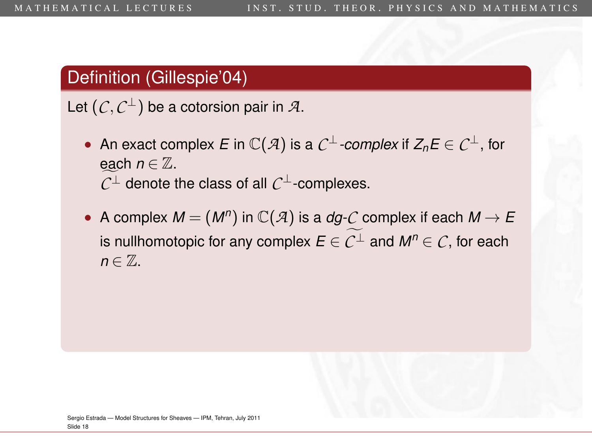Let  $(\mathcal{C}, \mathcal{C}^\perp)$  be a cotorsion pair in  $\mathcal{A}.$ 

- An exact complex *<sup>E</sup>* in C(*A*) is a *C* <sup>⊥</sup>*-complex* if *<sup>Z</sup>n<sup>E</sup>* ∈ *C* <sup>⊥</sup>, for each  $n \in \mathbb{Z}$ .  $C<sup>⊥</sup>$  denote the class of all  $C<sup>⊥</sup>$ -complexes.
- A complex  $M = (M^n)$  in  $\mathbb{C}(\mathcal{A})$  is a *dg-C* complex if each  $M \to E$ is nullhomotopic for any complex  $E \in C^{\perp}$  and  $M^n \in C$ , for each  $n \in \mathbb{Z}$ .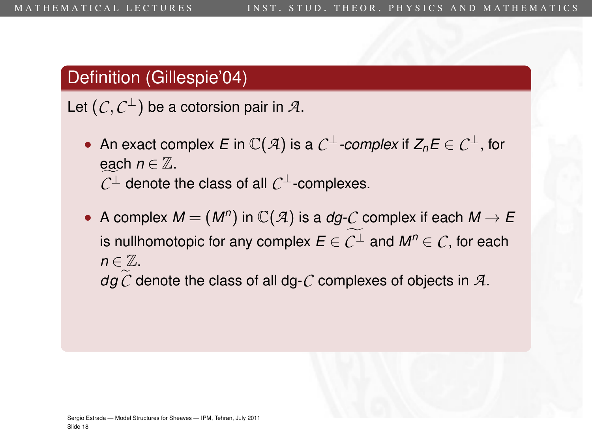Let  $(\mathcal{C}, \mathcal{C}^\perp)$  be a cotorsion pair in  $\mathcal{A}.$ 

- An exact complex *<sup>E</sup>* in C(*A*) is a *C* <sup>⊥</sup>*-complex* if *<sup>Z</sup>n<sup>E</sup>* ∈ *C* <sup>⊥</sup>, for each  $n \in \mathbb{Z}$ .  $C<sup>⊥</sup>$  denote the class of all  $C<sup>⊥</sup>$ -complexes.
- A complex  $M = (M^n)$  in  $\mathbb{C}(\mathcal{A})$  is a *dg-C* complex if each  $M \to E$ is nullhomotopic for any complex  $E \in C^{\perp}$  and  $M^n \in C$ , for each  $n \in \mathbb{Z}$ .  $dqC$  denote the class of all dg- $C$  complexes of objects in  $A$ .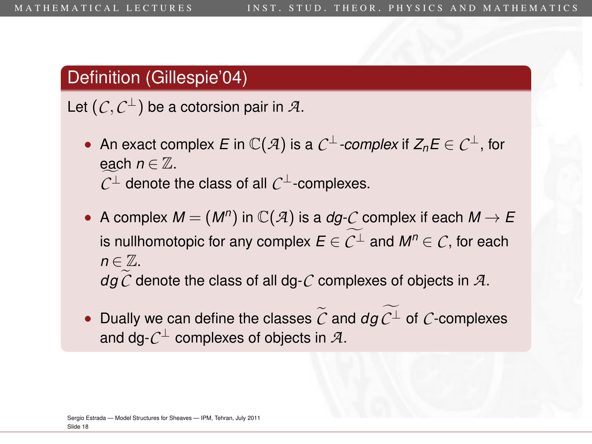#### Definition (Gillespie'04)

Let  $(\mathcal{C}, \mathcal{C}^\perp)$  be a cotorsion pair in  $\mathcal{A}.$ 

- An exact complex *<sup>E</sup>* in C(*A*) is a *C* <sup>⊥</sup>*-complex* if *<sup>Z</sup>n<sup>E</sup>* ∈ *C* <sup>⊥</sup>, for each  $n \in \mathbb{Z}$ .  $C<sup>⊥</sup>$  denote the class of all  $C<sup>⊥</sup>$ -complexes.
- A complex  $M = (M^n)$  in  $\mathbb{C}(\mathcal{A})$  is a *dg-C* complex if each  $M \to E$ is nullhomotopic for any complex  $E \in C^{\perp}$  and  $M^n \in C$ , for each  $n \in \mathbb{Z}$ .  $dqC$  denote the class of all dg- $C$  complexes of objects in  $A$ .
- Dually we can define the classes  $\tilde{C}$  and  $d\tilde{q} C^{\perp}$  of  $C$ -complexes and dg- $\mathcal{C}^\perp$  complexes of objects in  $\mathcal{A}.$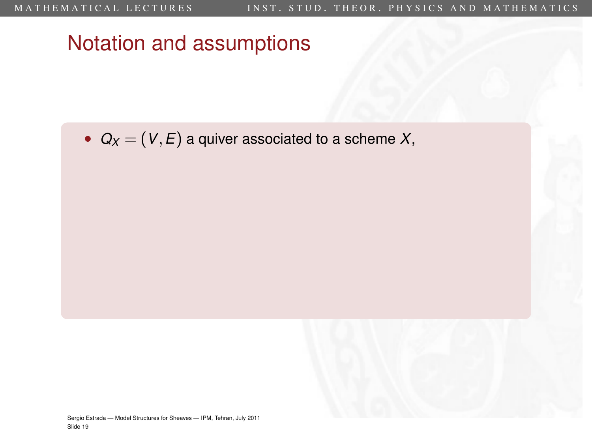•  $Q_X = (V, E)$  a quiver associated to a scheme X,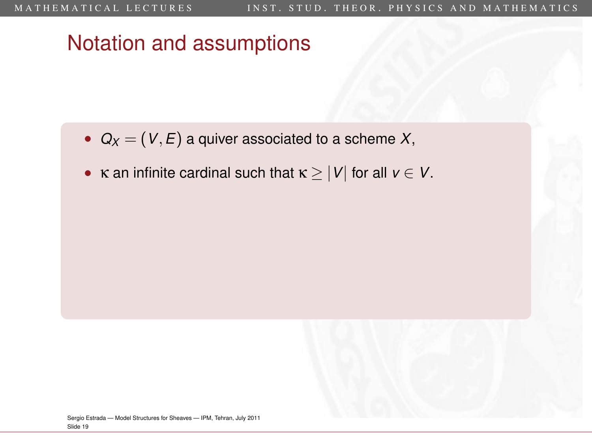- $Q_X = (V, E)$  a quiver associated to a scheme X,
- **k** an infinite cardinal such that  $\kappa \ge |V|$  for all  $v \in V$ .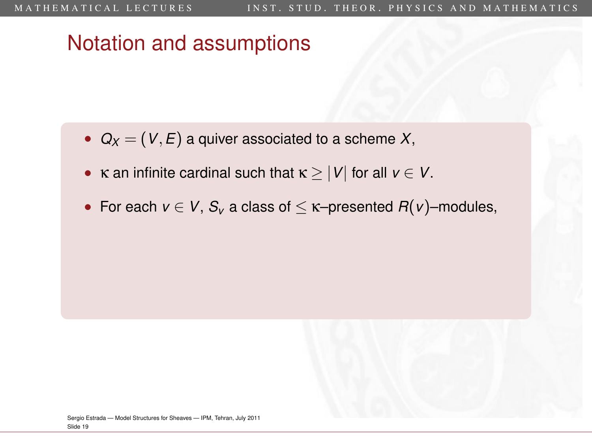- $Q_X = (V, E)$  a quiver associated to a scheme X,
- **κ** an infinite cardinal such that  $\kappa \geq |V|$  for all  $v \in V$ .
- For each  $v \in V$ ,  $S_v$  a class of  $\leq \kappa$ –presented  $R(v)$ –modules,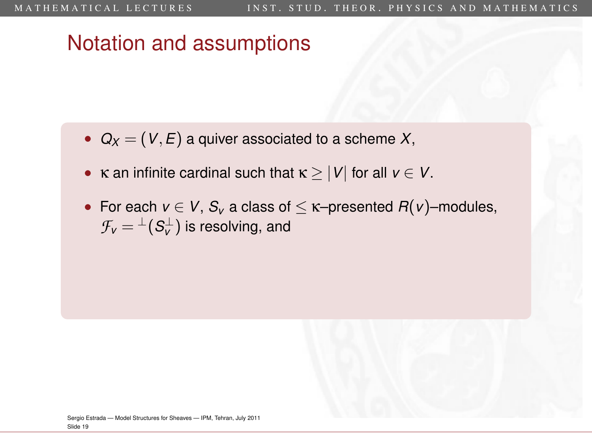- $Q_X = (V, E)$  a quiver associated to a scheme X,
- **κ** an infinite cardinal such that  $\kappa \geq |V|$  for all  $v \in V$ .
- For each  $v \in V$ ,  $S_v$  a class of  $\leq \kappa$ -presented  $R(v)$ -modules,  $\mathcal{F}_{\pmb{\nu}} = {}^{\perp}(\mathcal{S}_{\pmb{\nu}}^{\perp})$  is resolving, and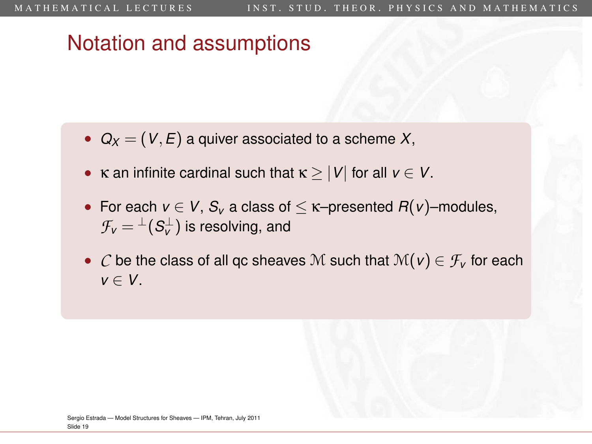- $Q_X = (V, E)$  a quiver associated to a scheme X,
- **κ** an infinite cardinal such that  $\kappa \geq |V|$  for all  $v \in V$ .
- For each  $v \in V$ ,  $S_v$  a class of  $\leq \kappa$ -presented  $R(v)$ -modules,  $\mathcal{F}_{\pmb{\nu}} = {}^{\perp}(\mathcal{S}_{\pmb{\nu}}^{\perp})$  is resolving, and
- *C* be the class of all qc sheaves M such that  $\mathcal{M}(v) \in \mathcal{F}_v$  for each *v* ∈ *V*.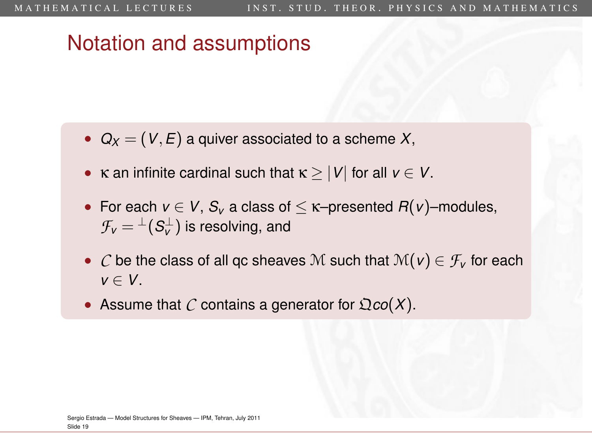- $Q_X = (V, E)$  a quiver associated to a scheme X,
- **κ** an infinite cardinal such that  $\kappa \geq |V|$  for all  $v \in V$ .
- For each  $v \in V$ ,  $S_v$  a class of  $\leq \kappa$ -presented  $R(v)$ -modules,  $\mathcal{F}_{\pmb{\nu}} = {}^{\perp}(\mathcal{S}_{\pmb{\nu}}^{\perp})$  is resolving, and
- *C* be the class of all qc sheaves M such that  $\mathcal{M}(v) \in \mathcal{F}_v$  for each *v* ∈ *V*.
- Assume that C contains a generator for  $\mathfrak{Q} \text{co}(X)$ .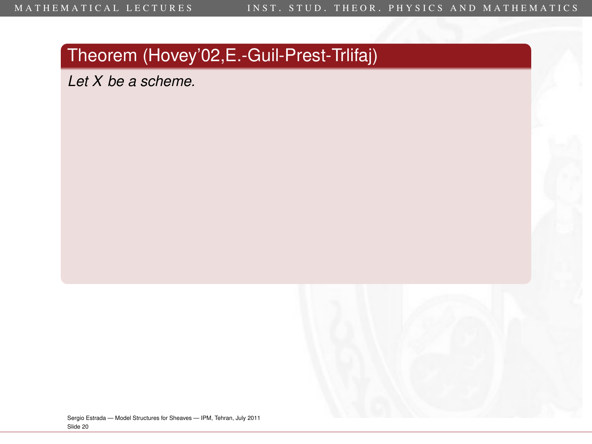Slide 20

## Theorem (Hovey'02,E.-Guil-Prest-Trlifaj)

*Let X be a scheme.*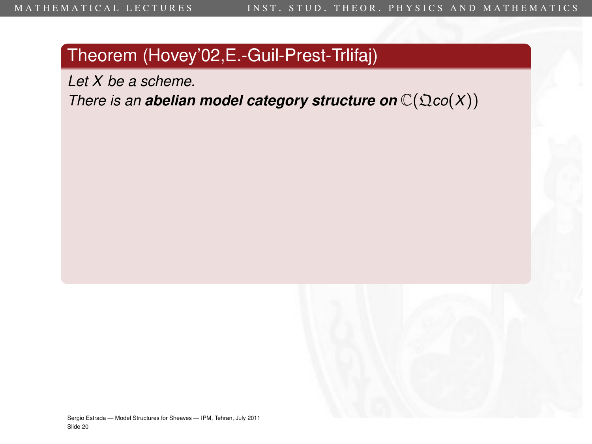*Let X be a scheme.*

*There is an abelian model category structure on*  $\mathbb{C}(\mathfrak{Q} \text{co}(X))$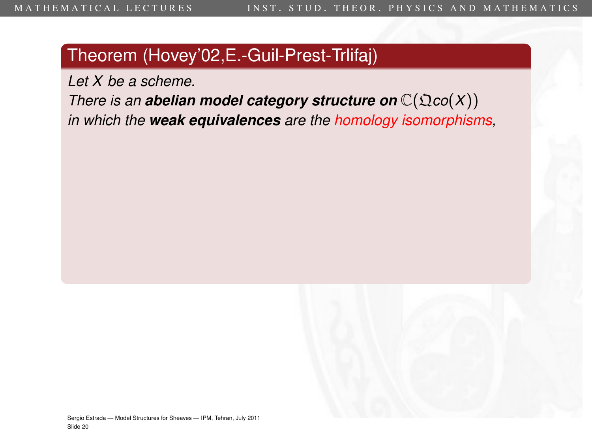*Let X be a scheme.*

*There is an abelian model category structure on*  $\mathbb{C}(\mathfrak{Q} \text{co}(X))$ *in which the weak equivalences are the homology isomorphisms,*

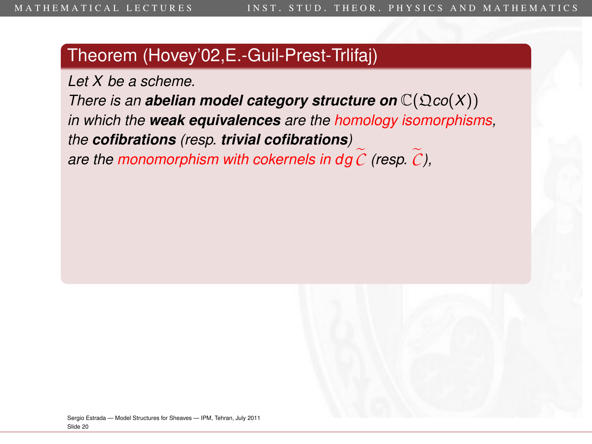*Let X be a scheme.*

*There is an abelian model category structure on*  $\mathbb{C}(\mathfrak{Q} \text{co}(X))$ *in which the weak equivalences are the homology isomorphisms, the cofibrations (resp. trivial cofibrations) are the monomorphism with cokernels in dg*  $\tilde{C}$  *(resp.*  $\tilde{C}$ *),*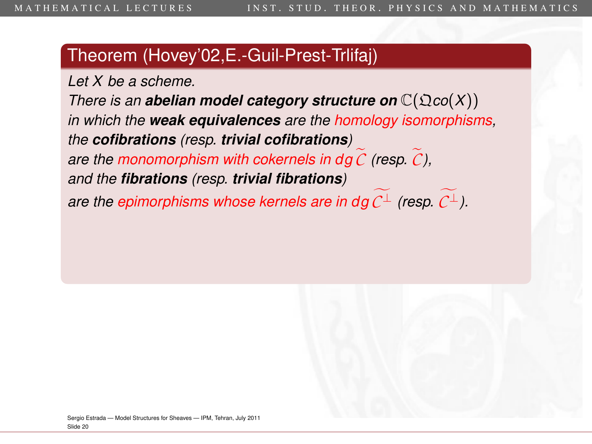*Let X be a scheme. There is an abelian model category structure on*  $\mathbb{C}(\Omega \text{co}(X))$ *in which the weak equivalences are the homology isomorphisms, the cofibrations (resp. trivial cofibrations) are the monomorphism with cokernels in dg*  $\mathcal C$  *(resp.*  $\mathcal C$ *), and the fibrations (resp. trivial fibrations) are the epimorphisms whose kernels are in dg*  $C^{\perp}$  *(resp.*  $C^{\perp}$ *).*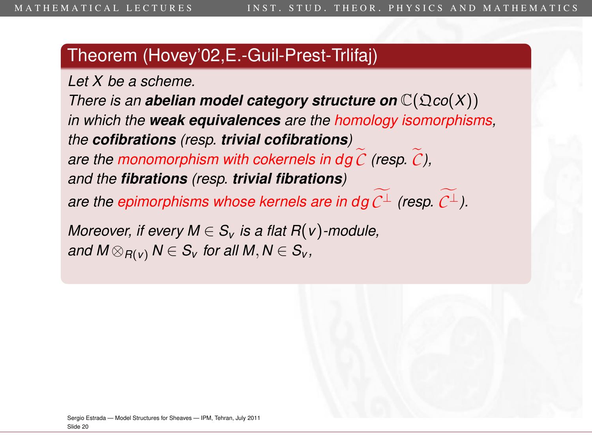*Let X be a scheme.*

*There is an abelian model category structure on*  $\mathbb{C}(\Omega \text{co}(X))$ *in which the weak equivalences are the homology isomorphisms, the cofibrations (resp. trivial cofibrations) are the monomorphism with cokernels in dg*  $\mathcal C$  *(resp.*  $\mathcal C$ *), and the fibrations (resp. trivial fibrations)*

*are the epimorphisms whose kernels are in dg*  $C^{\perp}$  *(resp.*  $C^{\perp}$ *).* 

*Moreover, if every*  $M \in S_v$  *is a flat R(v)*-module, *and*  $M \otimes_{R(v)} N \in S_v$  *for all*  $M, N \in S_v$ *,*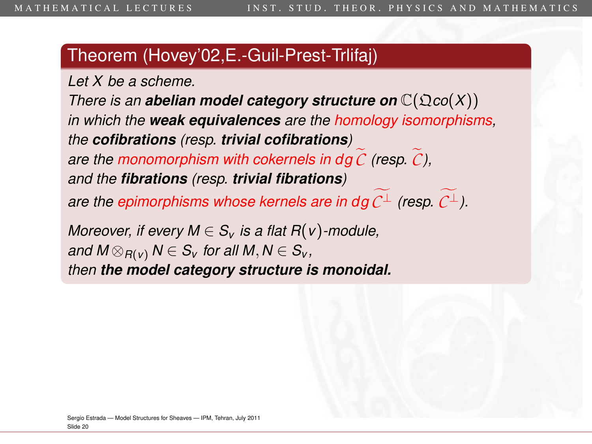*Let X be a scheme.*

*There is an abelian model category structure on*  $\mathbb{C}(\Omega \text{co}(X))$ *in which the weak equivalences are the homology isomorphisms, the cofibrations (resp. trivial cofibrations) are the monomorphism with cokernels in dg*  $\mathcal C$  *(resp.*  $\mathcal C$ *), and the fibrations (resp. trivial fibrations)*

*are the epimorphisms whose kernels are in dg*  $C^{\perp}$  *(resp.*  $C^{\perp}$ *).* 

*Moreover, if every*  $M \in S_v$  *is a flat R(v)*-module, *and*  $M \otimes_{R(V)} N \in S_V$  *for all*  $M, N \in S_V$ *, then the model category structure is monoidal.*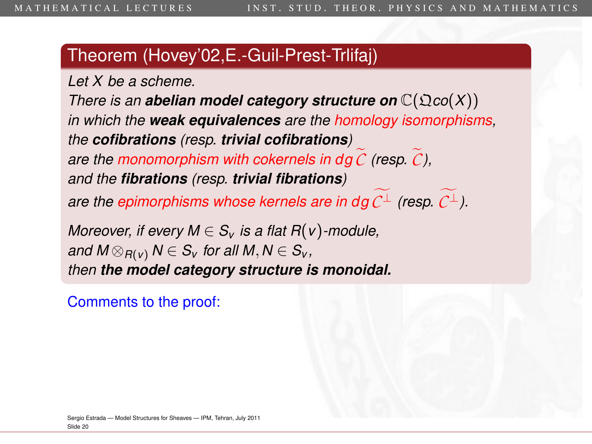*Let X be a scheme.*

*There is an abelian model category structure on*  $\mathbb{C}(\Omega \text{co}(X))$ *in which the weak equivalences are the homology isomorphisms, the cofibrations (resp. trivial cofibrations) are the monomorphism with cokernels in dg*  $\mathcal C$  *(resp.*  $\mathcal C$ *), and the fibrations (resp. trivial fibrations)*

*are the epimorphisms whose kernels are in dg*  $C^{\perp}$  *(resp.*  $C^{\perp}$ *).* 

*Moreover, if every*  $M \in S_v$  *is a flat R(v)*-module, *and*  $M \otimes_{R(V)} N \in S_V$  *for all*  $M, N \in S_V$ *, then the model category structure is monoidal.*

Comments to the proof: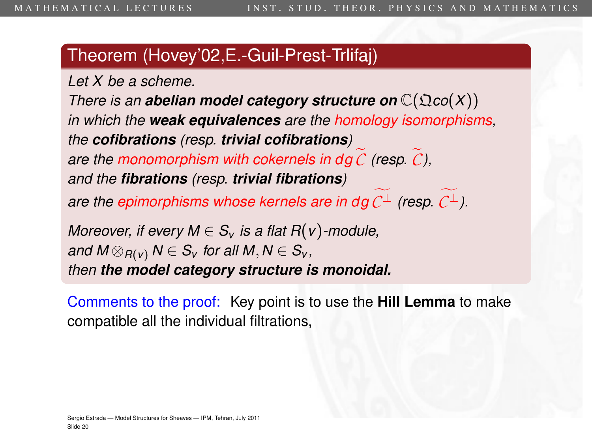*Let X be a scheme.*

*There is an abelian model category structure on*  $\mathbb{C}(\Omega \text{co}(X))$ *in which the weak equivalences are the homology isomorphisms, the cofibrations (resp. trivial cofibrations) are the monomorphism with cokernels in dg*  $\mathcal C$  *(resp.*  $\mathcal C$ *), and the fibrations (resp. trivial fibrations) are the epimorphisms whose kernels are in dg*  $C^{\perp}$  *(resp.*  $C^{\perp}$ *).* 

*Moreover, if every*  $M \in S_v$  *is a flat R(v)*-module, *and*  $M \otimes_{R(V)} N \in S_V$  for all  $M, N \in S_V$ , *then the model category structure is monoidal.*

Comments to the proof: Key point is to use the **Hill Lemma** to make compatible all the individual filtrations,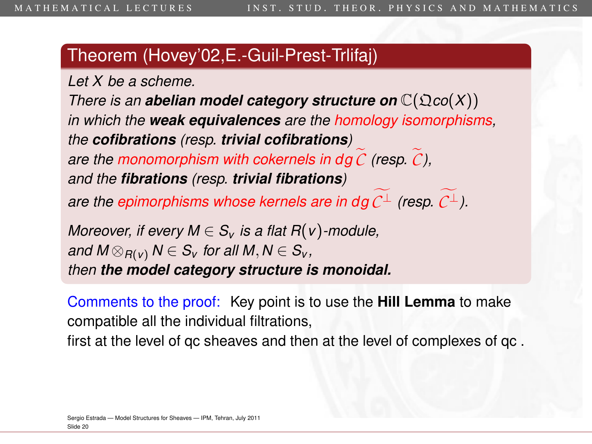*Let X be a scheme.*

*There is an abelian model category structure on*  $\mathbb{C}(\Omega \text{co}(X))$ *in which the weak equivalences are the homology isomorphisms, the cofibrations (resp. trivial cofibrations) are the monomorphism with cokernels in dg*  $\mathcal C$  *(resp.*  $\mathcal C$ *), and the fibrations (resp. trivial fibrations)*

*are the epimorphisms whose kernels are in dg*  $C^{\perp}$  *(resp.*  $C^{\perp}$ *).* 

*Moreover, if every*  $M \in S_v$  *is a flat R(v)*-module, *and*  $M \otimes_{R(V)} N \in S_V$  for all  $M, N \in S_V$ , *then the model category structure is monoidal.*

Comments to the proof: Key point is to use the **Hill Lemma** to make compatible all the individual filtrations,

first at the level of qc sheaves and then at the level of complexes of qc .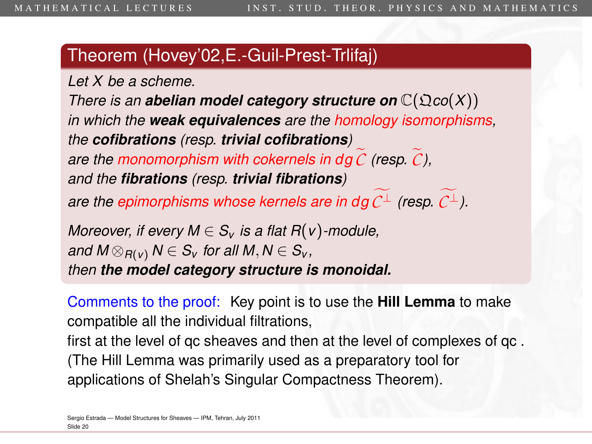*Let X be a scheme.*

*There is an abelian model category structure on*  $\mathbb{C}(\Omega \text{co}(X))$ *in which the weak equivalences are the homology isomorphisms, the cofibrations (resp. trivial cofibrations) are the monomorphism with cokernels in dg*  $\mathcal C$  *(resp.*  $\mathcal C$ *), and the fibrations (resp. trivial fibrations)*

*are the epimorphisms whose kernels are in dg*  $C^{\perp}$  *(resp.*  $C^{\perp}$ *).* 

*Moreover, if every*  $M \in S_v$  *is a flat R(v)*-module, *and*  $M \otimes_{R(V)} N \in S_V$  for all  $M, N \in S_V$ , *then the model category structure is monoidal.*

Comments to the proof: Key point is to use the **Hill Lemma** to make compatible all the individual filtrations,

first at the level of qc sheaves and then at the level of complexes of qc . (The Hill Lemma was primarily used as a preparatory tool for applications of Shelah's Singular Compactness Theorem).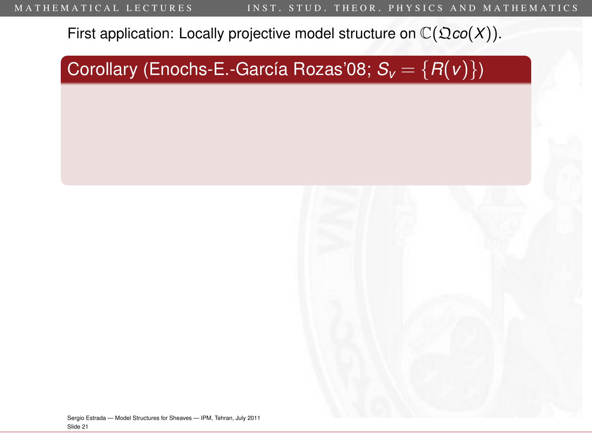Corollary (Enochs-E.-García Rozas'08;  $S_v = \{R(v)\}\$ )

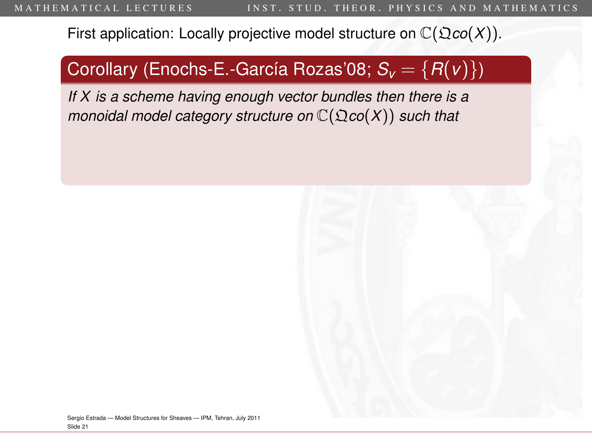### Corollary (Enochs-E.-García Rozas'08; *S<sup>v</sup>* = {*R*(*v*)})

*If X is a scheme having enough vector bundles then there is a monoidal model category structure on*  $\mathbb{C}(\mathfrak{Q}(\mathfrak{co}(X))$  *such that* 

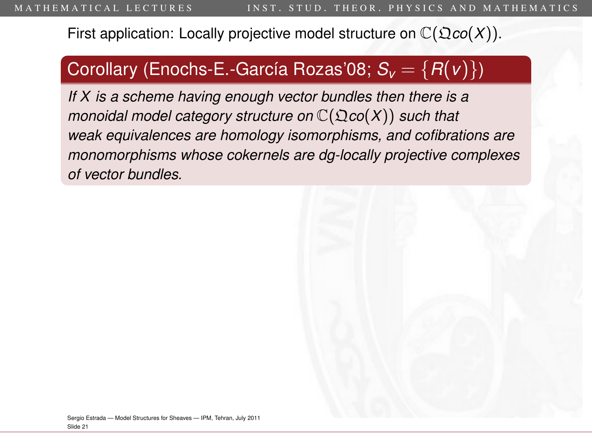#### Corollary (Enochs-E.-García Rozas'08;  $S_v = \{R(v)\}\$ )

*If X is a scheme having enough vector bundles then there is a monoidal model category structure on*  $\mathbb{C}(\mathfrak{Q}(\mathfrak{co}(X))$  *such that weak equivalences are homology isomorphisms, and cofibrations are monomorphisms whose cokernels are dg-locally projective complexes of vector bundles.*

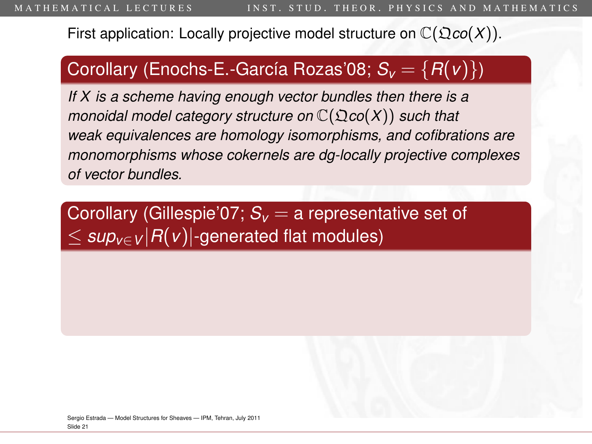#### Corollary (Enochs-E.-García Rozas'08; *S<sup>v</sup>* = {*R*(*v*)})

*If X is a scheme having enough vector bundles then there is a monoidal model category structure on* C(Q*co*(*X*)) *such that weak equivalences are homology isomorphisms, and cofibrations are monomorphisms whose cokernels are dg-locally projective complexes of vector bundles.*

Corollary (Gillespie'07;  $S_v = a$  representative set of  $\leq$  *sup*<sub> $v \in V$ </sub> $|R(v)|$ -generated flat modules)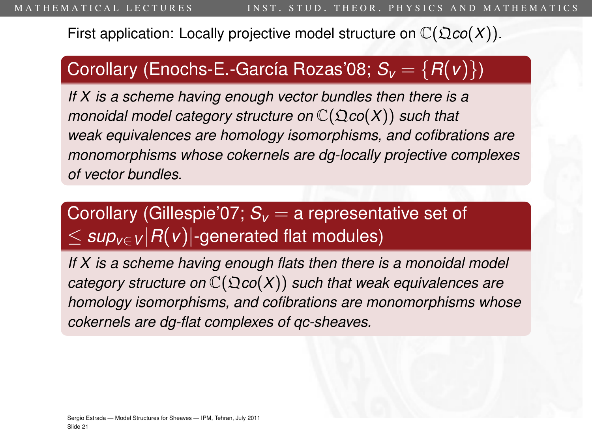#### Corollary (Enochs-E.-García Rozas'08; *S<sup>v</sup>* = {*R*(*v*)})

*If X is a scheme having enough vector bundles then there is a monoidal model category structure on* C(Q*co*(*X*)) *such that weak equivalences are homology isomorphisms, and cofibrations are monomorphisms whose cokernels are dg-locally projective complexes of vector bundles.*

## Corollary (Gillespie'07; *S<sup>v</sup>* = a representative set of  $\leq$  *sup*<sub> $v \in V$ </sub> $|R(v)|$ -generated flat modules)

*If X is a scheme having enough flats then there is a monoidal model category structure on* C(Q*co*(*X*)) *such that weak equivalences are homology isomorphisms, and cofibrations are monomorphisms whose cokernels are dg-flat complexes of qc-sheaves.*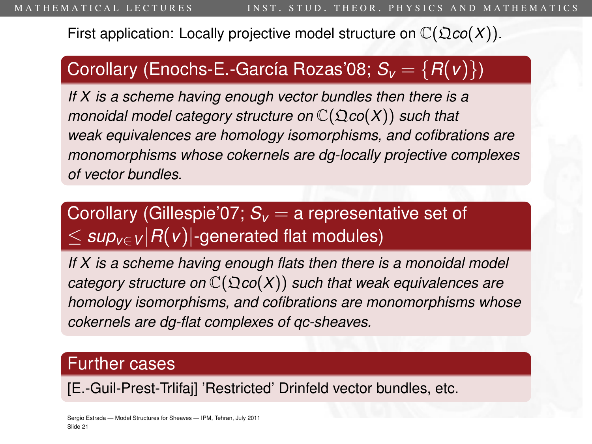#### Corollary (Enochs-E.-García Rozas'08; *S<sup>v</sup>* = {*R*(*v*)})

*If X is a scheme having enough vector bundles then there is a monoidal model category structure on* C(Q*co*(*X*)) *such that weak equivalences are homology isomorphisms, and cofibrations are monomorphisms whose cokernels are dg-locally projective complexes of vector bundles.*

## Corollary (Gillespie'07; *S<sup>v</sup>* = a representative set of  $\leq$  *sup*<sub> $v \in V$ </sub> $|R(v)|$ -generated flat modules)

*If X is a scheme having enough flats then there is a monoidal model category structure on* C(Q*co*(*X*)) *such that weak equivalences are homology isomorphisms, and cofibrations are monomorphisms whose cokernels are dg-flat complexes of qc-sheaves.*

#### Further cases

[E.-Guil-Prest-Trlifaj] 'Restricted' Drinfeld vector bundles, etc.

Sergio Estrada — [Model Structures for Sheaves](#page-0-0) — IPM, Tehran, July 2011 Slide 21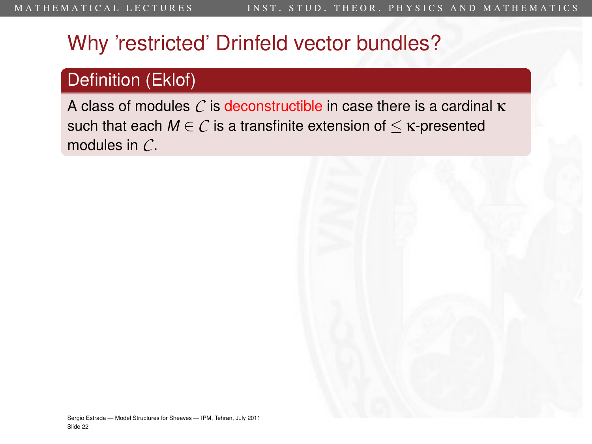### Definition (Eklof)

A class of modules *C* is deconstructible in case there is a cardinal κ such that each  $M \in \mathcal{C}$  is a transfinite extension of  $\leq \kappa$ -presented modules in *C*.

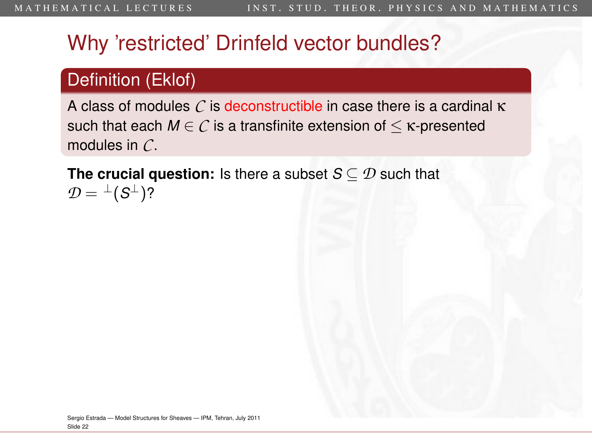### Definition (Eklof)

A class of modules *C* is deconstructible in case there is a cardinal κ such that each  $M \in \mathcal{C}$  is a transfinite extension of  $\leq \kappa$ -presented modules in *C*.

**The crucial question:** Is there a subset *S* ⊆ *D* such that  $\mathcal{D} = {}^{\perp}(\mathcal{S}^{\perp})$ ?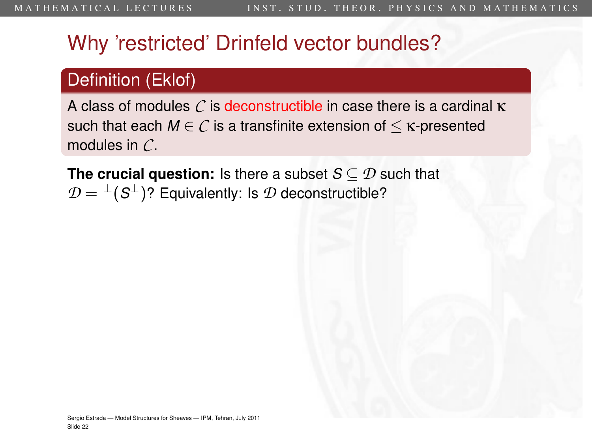## Definition (Eklof)

A class of modules *C* is deconstructible in case there is a cardinal κ such that each  $M \in \mathcal{C}$  is a transfinite extension of  $\leq \kappa$ -presented modules in *C*.

**The crucial question:** Is there a subset *S* ⊆ *D* such that  $\mathcal{D} = {}^{\perp}(\mathcal{S}^{\perp})$ ? Equivalently: Is  $\mathcal{D}$  deconstructible?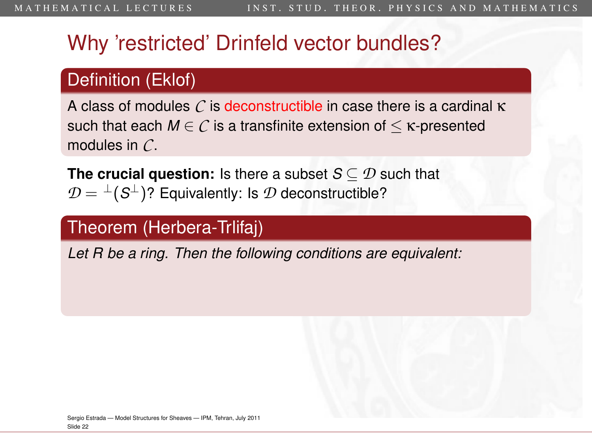### Definition (Eklof)

A class of modules *C* is deconstructible in case there is a cardinal κ such that each  $M \in \mathcal{C}$  is a transfinite extension of  $\leq \kappa$ -presented modules in *C*.

**The crucial question:** Is there a subset *S* ⊆ *D* such that  $\mathcal{D} = {}^{\perp}(\mathcal{S}^{\perp})$ ? Equivalently: Is  $\mathcal{D}$  deconstructible?

### Theorem (Herbera-Trlifaj)

*Let R be a ring. Then the following conditions are equivalent:*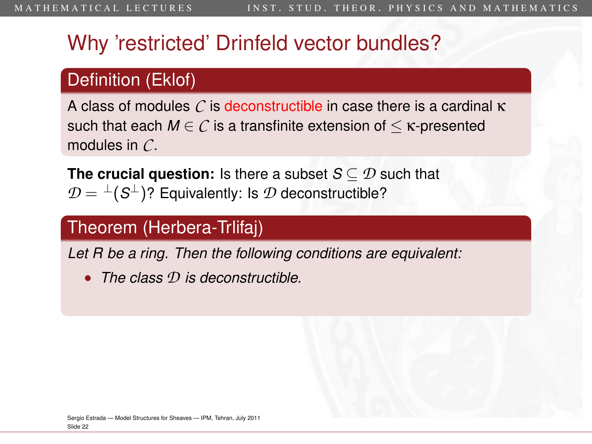## Definition (Eklof)

A class of modules *C* is deconstructible in case there is a cardinal κ such that each  $M \in \mathcal{C}$  is a transfinite extension of  $\leq \kappa$ -presented modules in *C*.

**The crucial question:** Is there a subset *S* ⊆ *D* such that  $\mathcal{D} = {}^{\perp}(\mathcal{S}^{\perp})$ ? Equivalently: Is  $\mathcal{D}$  deconstructible?

## Theorem (Herbera-Trlifaj)

*Let R be a ring. Then the following conditions are equivalent:*

• *The class D is deconstructible.*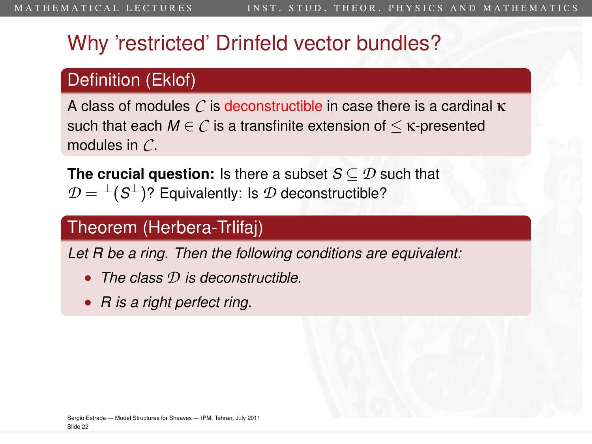## Definition (Eklof)

A class of modules *C* is deconstructible in case there is a cardinal κ such that each  $M \in \mathcal{C}$  is a transfinite extension of  $\leq \kappa$ -presented modules in *C*.

**The crucial question:** Is there a subset *S* ⊆ *D* such that  $\mathcal{D} = {}^{\perp}(\mathcal{S}^{\perp})$ ? Equivalently: Is  $\mathcal{D}$  deconstructible?

## Theorem (Herbera-Trlifaj)

*Let R be a ring. Then the following conditions are equivalent:*

- *The class D is deconstructible.*
- *R is a right perfect ring.*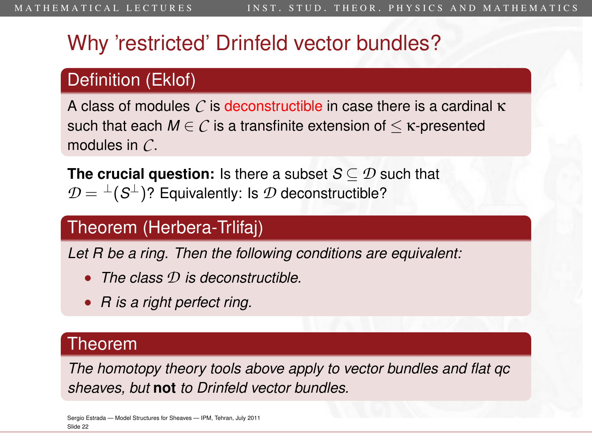## Definition (Eklof)

A class of modules *C* is deconstructible in case there is a cardinal κ such that each  $M \in \mathcal{C}$  is a transfinite extension of  $\leq \kappa$ -presented modules in *C*.

**The crucial question:** Is there a subset *S* ⊆ *D* such that  $\mathcal{D} = {}^{\perp}(\mathcal{S}^{\perp})$ ? Equivalently: Is  $\mathcal{D}$  deconstructible?

### Theorem (Herbera-Trlifaj)

*Let R be a ring. Then the following conditions are equivalent:*

- *The class D is deconstructible.*
- *R is a right perfect ring.*

#### Theorem

*The homotopy theory tools above apply to vector bundles and flat qc sheaves, but* **not** *to Drinfeld vector bundles.*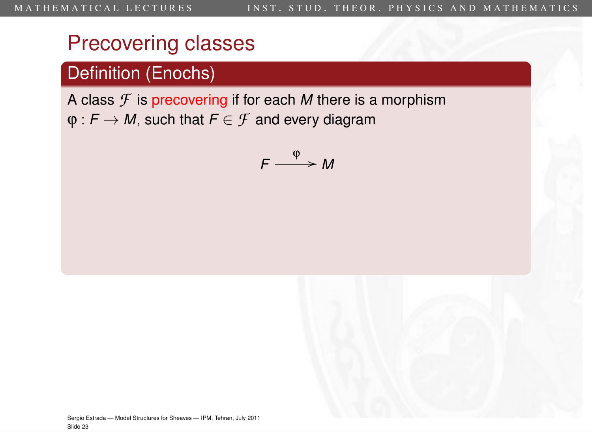## Definition (Enochs)

A class *F* is precovering if for each *M* there is a morphism  $\varphi$ :  $F \to M$ , such that  $F \in \mathcal{F}$  and every diagram

$$
F\stackrel{\varphi}{\longrightarrow}M
$$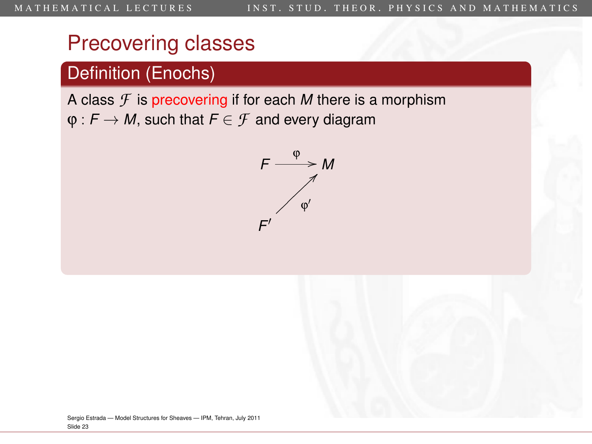## Definition (Enochs)

A class *F* is precovering if for each *M* there is a morphism  $\varphi$ :  $F \to M$ , such that  $F \in \mathcal{F}$  and every diagram

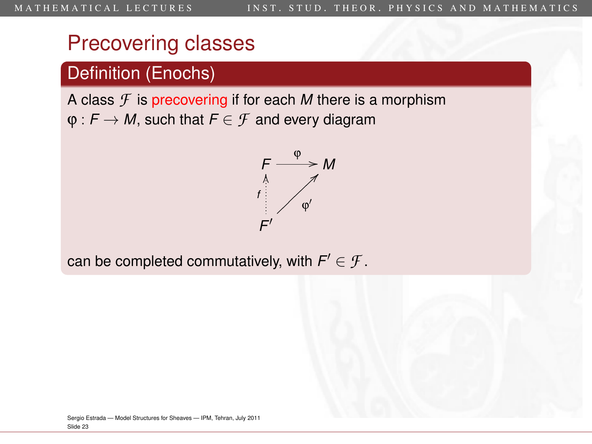## Definition (Enochs)

A class *F* is precovering if for each *M* there is a morphism  $\varphi$ :  $F \to M$ , such that  $F \in \mathcal{F}$  and every diagram



can be completed commutatively, with  $\mathsf{F}'\in\mathcal{F}.$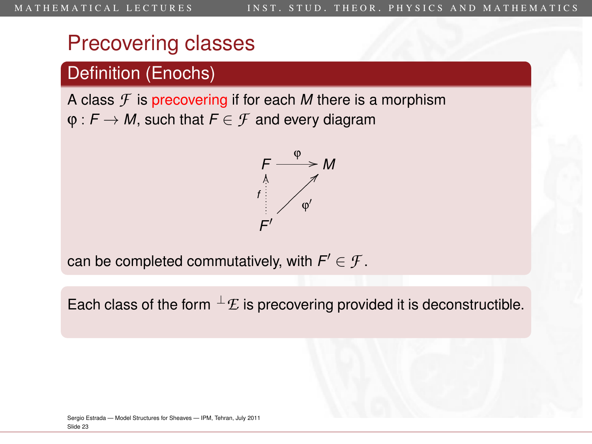## Definition (Enochs)

A class *F* is precovering if for each *M* there is a morphism  $\varphi$ :  $F \to M$ , such that  $F \in \mathcal{F}$  and every diagram



can be completed commutatively, with  $\mathsf{F}'\in\mathcal{F}.$ 

Each class of the form  $^{\perp}$ *E* is precovering provided it is deconstructible.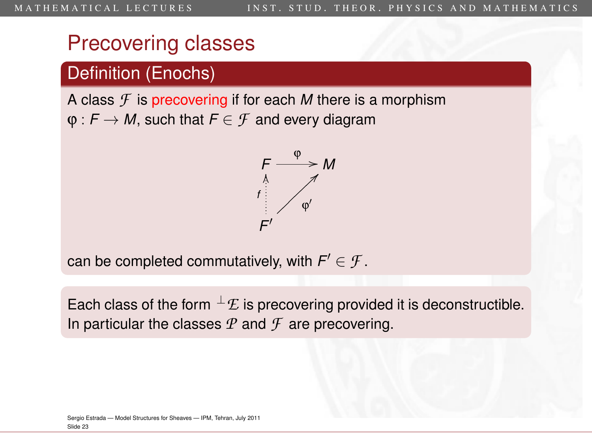## Definition (Enochs)

A class *F* is precovering if for each *M* there is a morphism  $\varphi$ :  $F \to M$ , such that  $F \in \mathcal{F}$  and every diagram



can be completed commutatively, with  $\mathsf{F}'\in\mathcal{F}.$ 

Each class of the form  $^{\perp}$ *E* is precovering provided it is deconstructible. In particular the classes  $P$  and  $\mathcal F$  are precovering.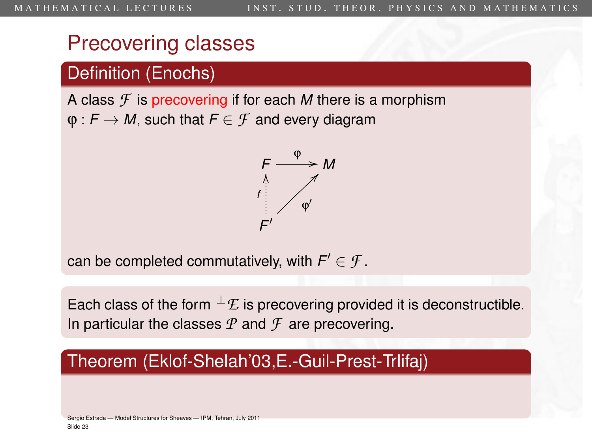## Precovering classes

### Definition (Enochs)

A class *F* is precovering if for each *M* there is a morphism  $\varphi$ :  $F \to M$ , such that  $F \in \mathcal{F}$  and every diagram



can be completed commutatively, with  $\mathsf{F}'\in\mathcal{F}.$ 

Each class of the form  $^{\perp}$ *E* is precovering provided it is deconstructible. In particular the classes  $P$  and  $\mathcal F$  are precovering.

#### Theorem (Eklof-Shelah'03,E.-Guil-Prest-Trlifaj)